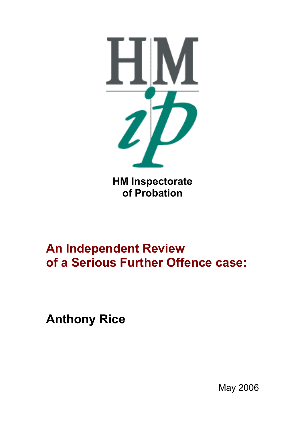

# **An Independent Review of a Serious Further Offence case:**

**Anthony Rice**

May 2006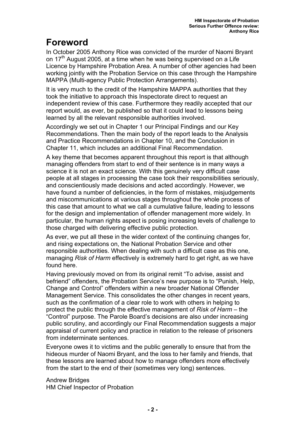## **Foreword**

In October 2005 Anthony Rice was convicted of the murder of Naomi Bryant on 17<sup>th</sup> August 2005, at a time when he was being supervised on a Life Licence by Hampshire Probation Area. A number of other agencies had been working jointly with the Probation Service on this case through the Hampshire MAPPA (Multi-agency Public Protection Arrangements).

It is very much to the credit of the Hampshire MAPPA authorities that they took the initiative to approach this Inspectorate direct to request an independent review of this case. Furthermore they readily accepted that our report would, as ever, be published so that it could lead to lessons being learned by all the relevant responsible authorities involved.

Accordingly we set out in Chapter 1 our Principal Findings and our Key Recommendations. Then the main body of the report leads to the Analysis and Practice Recommendations in Chapter 10, and the Conclusion in Chapter 11, which includes an additional Final Recommendation.

A key theme that becomes apparent throughout this report is that although managing offenders from start to end of their sentence is in many ways a science it is not an exact science. With this genuinely very difficult case people at all stages in processing the case took their responsibilities seriously, and conscientiously made decisions and acted accordingly. However, we have found a number of deficiencies, in the form of mistakes, misjudgements and miscommunications at various stages throughout the whole process of this case that amount to what we call a cumulative failure, leading to lessons for the design and implementation of offender management more widely. In particular, the human rights aspect is posing increasing levels of challenge to those charged with delivering effective public protection.

As ever, we put all these in the wider context of the continuing changes for, and rising expectations on, the National Probation Service and other responsible authorities. When dealing with such a difficult case as this one, managing *Risk of Harm* effectively is extremely hard to get right, as we have found here.

Having previously moved on from its original remit "To advise, assist and befriend" offenders, the Probation Service's new purpose is to "Punish, Help, Change and Control" offenders within a new broader National Offender Management Service. This consolidates the other changes in recent years, such as the confirmation of a clear role to work with others in helping to protect the public through the effective management of *Risk of Harm* – the "Control" purpose. The Parole Board's decisions are also under increasing public scrutiny, and accordingly our Final Recommendation suggests a major appraisal of current policy and practice in relation to the release of prisoners from indeterminate sentences.

Everyone owes it to victims and the public generally to ensure that from the hideous murder of Naomi Bryant, and the loss to her family and friends, that these lessons are learned about how to manage offenders more effectively from the start to the end of their (sometimes very long) sentences.

Andrew Bridges HM Chief Inspector of Probation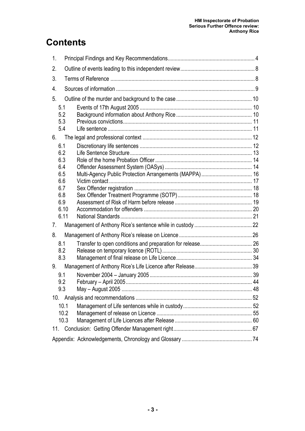## **Contents**

| 1.                              |                        |    |
|---------------------------------|------------------------|----|
| 2.                              |                        |    |
| 3.                              |                        |    |
| 4.                              |                        |    |
| 5.                              |                        |    |
| 5.1<br>5.2<br>5.3<br>5.4        |                        |    |
| 6.                              |                        |    |
| 6.1<br>6.2<br>6.3<br>6.4<br>6.5 |                        |    |
| 6.6<br>6.7<br>6.8<br>6.9        |                        |    |
| 6.10<br>6.11                    |                        |    |
| 7.                              |                        |    |
| 8.                              |                        |    |
| 8.1<br>8.2<br>8.3               |                        |    |
| 9.                              |                        |    |
| 9.1<br>9.2<br>9.3               | February - April 2005. | 44 |
| 10.                             |                        |    |
| 10.1<br>10.2<br>10.3            |                        |    |
| 11.                             |                        |    |
|                                 |                        |    |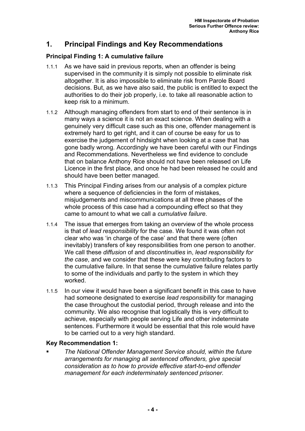## **1. Principal Findings and Key Recommendations**

#### **Principal Finding 1: A cumulative failure**

- 1.1.1 As we have said in previous reports, when an offender is being supervised in the community it is simply not possible to eliminate risk altogether. It is also impossible to eliminate risk from Parole Board decisions. But, as we have also said, the public is entitled to expect the authorities to do their job properly, i.e. to take all reasonable action to keep risk to a minimum.
- 1.1.2 Although managing offenders from start to end of their sentence is in many ways a science it is not an exact science. When dealing with a genuinely very difficult case such as this one, offender management is extremely hard to get right, and it can of course be easy for us to exercise the judgement of hindsight when looking at a case that has gone badly wrong. Accordingly we have been careful with our Findings and Recommendations. Nevertheless we find evidence to conclude that on balance Anthony Rice should not have been released on Life Licence in the first place, and once he had been released he could and should have been better managed.
- 1.1.3 This Principal Finding arises from our analysis of a complex picture where a sequence of deficiencies in the form of mistakes, misjudgements and miscommunications at all three phases of the whole process of this case had a compounding effect so that they came to amount to what we call a *cumulative failure*.
- 1.1.4 The issue that emerges from taking an overview of the whole process is that of *lead responsibility* for the case. We found it was often not clear who was 'in charge of the case' and that there were (often inevitably) transfers of key responsibilities from one person to another. We call these *diffusion* of and *discontinuities* in, *lead responsibility for the case*, and we consider that these were key contributing factors to the cumulative failure. In that sense the cumulative failure relates partly to some of the individuals and partly to the system in which they worked.
- 1.1.5 In our view it would have been a significant benefit in this case to have had someone designated to exercise *lead responsibility* for managing the case throughout the custodial period, through release and into the community. We also recognise that logistically this is very difficult to achieve, especially with people serving Life and other indeterminate sentences. Furthermore it would be essential that this role would have to be carried out to a very high standard.

#### **Key Recommendation 1:**

 *The National Offender Management Service should, within the future arrangements for managing all sentenced offenders, give special consideration as to how to provide effective start-to-end offender management for each indeterminately sentenced prisoner.*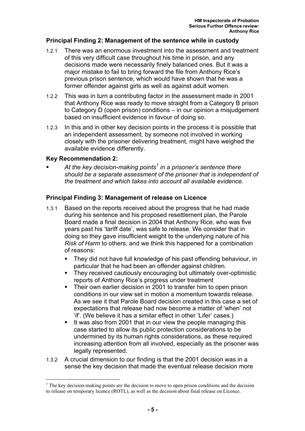#### **Principal Finding 2: Management of the sentence while in custody**

- 1.2.1 There was an enormous investment into the assessment and treatment of this very difficult case throughout his time in prison, and any decisions made were necessarily finely balanced ones. But it was a major mistake to fail to bring forward the file from Anthony Rice's previous prison sentence, which would have shown that he was a former offender against girls as well as against adult women.
- 1.2.2 This was in turn a contributing factor in the assessment made in 2001 that Anthony Rice was ready to move straight from a Category B prison to Category D (open prison) conditions – in our opinion a misjudgement based on insufficient evidence in favour of doing so.
- 1.2.3 In this and in other key decision points in the process it is possible that an independent assessment, by someone not involved in working closely with the prisoner delivering treatment, might have weighed the available evidence differently.

#### **Key Recommendation 2:**

 $\overline{a}$ 

■ At the key decision-making points<sup>1</sup> in a prisoner's sentence there *should be a separate assessment of the prisoner that is independent of the treatment and which takes into account all available evidence.* 

#### **Principal Finding 3: Management of release on Licence**

- 1.3.1 Based on the reports received about the progress that he had made during his sentence and his proposed resettlement plan, the Parole Board made a final decision in 2004 that Anthony Rice, who was five years past his 'tariff date', was safe to release. We consider that in doing so they gave insufficient weight to the underlying nature of his *Risk of Harm* to others, and we think this happened for a combination of reasons:
	- They did not have full knowledge of his past offending behaviour, in particular that he had been an offender against children.
	- They received cautiously encouraging but ultimately over-optimistic reports of Anthony Rice's progress under treatment
	- Their own earlier decision in 2001 to transfer him to open prison conditions in our view set in motion a momentum towards release. As we see it that Parole Board decision created in this case a set of expectations that release had now become a matter of 'when' not 'if'. (We believe it has a similar effect in other 'Lifer' cases.)
	- It was also from 2001 that in our view the people managing this case started to allow its public protection considerations to be undermined by its human rights considerations, as these required increasing attention from all involved, especially as the prisoner was legally represented.
- 1.3.2 A crucial dimension to our finding is that the 2001 decision was in a sense the key decision that made the eventual release decision more

 $<sup>1</sup>$  The key decision-making points are the decision to move to open prison conditions and the decision</sup> to release on temporary licence (ROTL), as well as the decision about final release on Licence.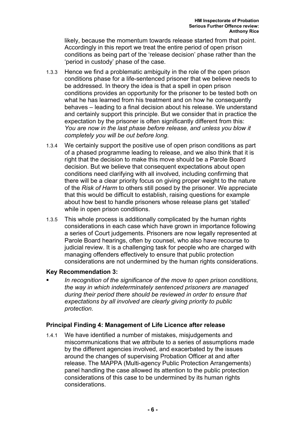likely, because the momentum towards release started from that point. Accordingly in this report we treat the entire period of open prison conditions as being part of the 'release decision' phase rather than the 'period in custody' phase of the case.

- 1.3.3 Hence we find a problematic ambiguity in the role of the open prison conditions phase for a life-sentenced prisoner that we believe needs to be addressed. In theory the idea is that a spell in open prison conditions provides an opportunity for the prisoner to be tested both on what he has learned from his treatment and on how he consequently behaves – leading to a final decision about his release. We understand and certainly support this principle. But we consider that in practice the expectation by the prisoner is often significantly different from this: *You are now in the last phase before release, and unless you blow it completely you will be out before long.*
- 1.3.4 We certainly support the positive use of open prison conditions as part of a phased programme leading to release, and we also think that it is right that the decision to make this move should be a Parole Board decision. But we believe that consequent expectations about open conditions need clarifying with all involved, including confirming that there will be a clear priority focus on giving proper weight to the nature of the *Risk of Harm* to others still posed by the prisoner. We appreciate that this would be difficult to establish, raising questions for example about how best to handle prisoners whose release plans get 'stalled' while in open prison conditions.
- 1.3.5 This whole process is additionally complicated by the human rights considerations in each case which have grown in importance following a series of Court judgements. Prisoners are now legally represented at Parole Board hearings, often by counsel, who also have recourse to judicial review. It is a challenging task for people who are charged with managing offenders effectively to ensure that public protection considerations are not undermined by the human rights considerations.

#### **Key Recommendation 3:**

 *In recognition of the significance of the move to open prison conditions, the way in which indeterminately sentenced prisoners are managed during their period there should be reviewed in order to ensure that expectations by all involved are clearly giving priority to public protection.* 

#### **Principal Finding 4: Management of Life Licence after release**

1.4.1 We have identified a number of mistakes, misjudgements and miscommunications that we attribute to a series of assumptions made by the different agencies involved, and exacerbated by the issues around the changes of supervising Probation Officer at and after release. The MAPPA (Multi-agency Public Protection Arrangements) panel handling the case allowed its attention to the public protection considerations of this case to be undermined by its human rights considerations.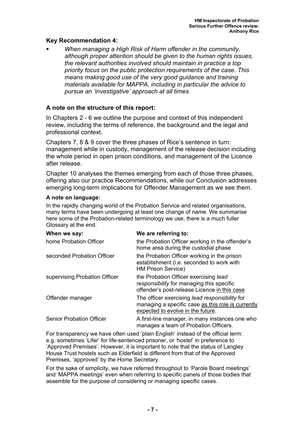#### **Key Recommendation 4:**

 *When managing a High Risk of Harm offender in the community, although proper attention should be given to the human rights issues, the relevant authorities involved should maintain in practice a top priority focus on the public protection requirements of the case. This means making good use of the very good guidance and training materials available for MAPPA, including in particular the advice to pursue an 'investigative' approach at all times.* 

#### **A note on the structure of this report:**

In Chapters 2 - 6 we outline the purpose and context of this independent review, including the terms of reference, the background and the legal and professional context.

Chapters 7, 8 & 9 cover the three phases of Rice's sentence in turn: management while in custody, management of the release decision including the whole period in open prison conditions, and management of the Licence after release.

Chapter 10 analyses the themes emerging from each of those three phases, offering also our practice Recommendations, while our Conclusion addresses emerging long-term implications for Offender Management as we see them.

#### **A note on language:**

In the rapidly changing world of the Probation Service and related organisations, many terms have been undergoing at least one change of name. We summarise here some of the Probation-related terminology we use; there is a much fuller Glossary at the end.

| When we say:                    | We are referring to:                                                                                                                      |  |
|---------------------------------|-------------------------------------------------------------------------------------------------------------------------------------------|--|
| home Probation Officer          | the Probation Officer working in the offender's<br>home area during the custodial phase                                                   |  |
| seconded Probation Officer      | the Probation Officer working in the prison<br>establishment (i.e. seconded to work with<br><b>HM Prison Service)</b>                     |  |
| supervising Probation Officer   | the Probation Officer exercising lead<br>responsibility for managing this specific<br>offender's post-release Licence in this case        |  |
| Offender manager                | The officer exercising lead responsibility for<br>managing a specific case as this role is currently<br>expected to evolve in the future. |  |
| <b>Senior Probation Officer</b> | A first-line manager, in many instances one who<br>manages a team of Probation Officers.                                                  |  |

For transparency we have often used 'plain English' instead of the official term: e.g. sometimes 'Lifer' for life-sentenced prisoner, or 'hostel' in preference to 'Approved Premises'. However, it is important to note that the status of Langley House Trust hostels such as Elderfield is different from that of the Approved Premises, 'approved' by the Home Secretary.

For the sake of simplicity, we have referred throughout to 'Parole Board meetings' and 'MAPPA meetings' even when referring to specific panels of those bodies that assemble for the purpose of considering or managing specific cases.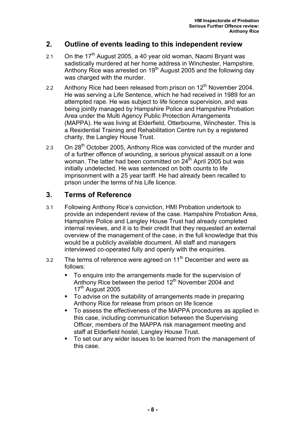## **2. Outline of events leading to this independent review**

- 2.1 On the  $17<sup>th</sup>$  August 2005, a 40 year old woman, Naomi Bryant was sadistically murdered at her home address in Winchester, Hampshire. Anthony Rice was arrested on 19<sup>th</sup> August 2005 and the following day was charged with the murder.
- 2.2 Anthony Rice had been released from prison on  $12<sup>th</sup>$  November 2004. He was serving a Life Sentence, which he had received in 1989 for an attempted rape. He was subject to life licence supervision, and was being jointly managed by Hampshire Police and Hampshire Probation Area under the Multi Agency Public Protection Arrangements (MAPPA). He was living at Elderfield, Otterbourne, Winchester. This is a Residential Training and Rehabilitation Centre run by a registered charity, the Langley House Trust.
- 2.3 On 28<sup>th</sup> October 2005, Anthony Rice was convicted of the murder and of a further offence of wounding, a serious physical assault on a lone woman. The latter had been committed on 24<sup>th</sup> April 2005 but was initially undetected. He was sentenced on both counts to life imprisonment with a 25 year tariff. He had already been recalled to prison under the terms of his Life licence.

## **3. Terms of Reference**

- 3.1 Following Anthony Rice's conviction, HMI Probation undertook to provide an independent review of the case. Hampshire Probation Area, Hampshire Police and Langley House Trust had already completed internal reviews, and it is to their credit that they requested an external overview of the management of the case, in the full knowledge that this would be a publicly available document. All staff and managers interviewed co-operated fully and openly with the enquiries.
- 3.2 The terms of reference were agreed on  $11<sup>th</sup>$  December and were as follows:
	- To enquire into the arrangements made for the supervision of Anthony Rice between the period  $12<sup>th</sup>$  November 2004 and 17<sup>th</sup> August 2005
	- To advise on the suitability of arrangements made in preparing Anthony Rice for release from prison on life licence
	- To assess the effectiveness of the MAPPA procedures as applied in this case, including communication between the Supervising Officer, members of the MAPPA risk management meeting and staff at Elderfield hostel, Langley House Trust.
	- To set our any wider issues to be learned from the management of this case.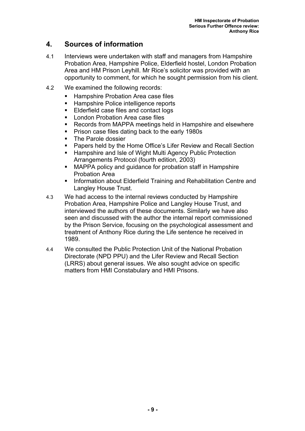## **4. Sources of information**

- 4.1 Interviews were undertaken with staff and managers from Hampshire Probation Area, Hampshire Police, Elderfield hostel, London Probation Area and HM Prison Leyhill. Mr Rice's solicitor was provided with an opportunity to comment, for which he sought permission from his client.
- 4.2 We examined the following records:
	- Hampshire Probation Area case files
	- **Hampshire Police intelligence reports**
	- **Elderfield case files and contact logs**
	- **London Probation Area case files**
	- Records from MAPPA meetings held in Hampshire and elsewhere
	- **Prison case files dating back to the early 1980s**
	- The Parole dossier
	- Papers held by the Home Office's Lifer Review and Recall Section
	- Hampshire and Isle of Wight Multi Agency Public Protection Arrangements Protocol (fourth edition, 2003)
	- MAPPA policy and guidance for probation staff in Hampshire Probation Area
	- **Information about Elderfield Training and Rehabilitation Centre and** Langley House Trust.
- 4.3 We had access to the internal reviews conducted by Hampshire Probation Area, Hampshire Police and Langley House Trust, and interviewed the authors of these documents. Similarly we have also seen and discussed with the author the internal report commissioned by the Prison Service, focusing on the psychological assessment and treatment of Anthony Rice during the Life sentence he received in 1989.
- 4.4 We consulted the Public Protection Unit of the National Probation Directorate (NPD PPU) and the Lifer Review and Recall Section (LRRS) about general issues. We also sought advice on specific matters from HMI Constabulary and HMI Prisons.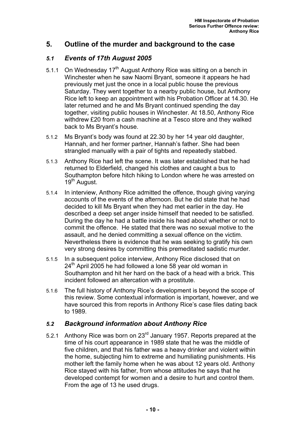## **5. Outline of the murder and background to the case**

#### *5.1 Events of 17th August 2005*

- 5.1.1 On Wednesday 17<sup>th</sup> August Anthony Rice was sitting on a bench in Winchester when he saw Naomi Bryant, someone it appears he had previously met just the once in a local public house the previous Saturday. They went together to a nearby public house, but Anthony Rice left to keep an appointment with his Probation Officer at 14.30. He later returned and he and Ms Bryant continued spending the day together, visiting public houses in Winchester. At 18.50, Anthony Rice withdrew £20 from a cash machine at a Tesco store and they walked back to Ms Bryant's house.
- 5.1.2 Ms Bryant's body was found at 22.30 by her 14 year old daughter, Hannah, and her former partner, Hannah's father. She had been strangled manually with a pair of tights and repeatedly stabbed.
- 5.1.3 Anthony Rice had left the scene. It was later established that he had returned to Elderfield, changed his clothes and caught a bus to Southampton before hitch hiking to London where he was arrested on 19<sup>th</sup> August.
- 5.1.4 In interview, Anthony Rice admitted the offence, though giving varying accounts of the events of the afternoon. But he did state that he had decided to kill Ms Bryant when they had met earlier in the day. He described a deep set anger inside himself that needed to be satisfied. During the day he had a battle inside his head about whether or not to commit the offence. He stated that there was no sexual motive to the assault, and he denied committing a sexual offence on the victim. Nevertheless there is evidence that he was seeking to gratify his own very strong desires by committing this premeditated sadistic murder.
- 5.1.5 In a subsequent police interview, Anthony Rice disclosed that on  $24<sup>th</sup>$  April 2005 he had followed a lone 58 year old woman in Southampton and hit her hard on the back of a head with a brick. This incident followed an altercation with a prostitute.
- 5.1.6 The full history of Anthony Rice's development is beyond the scope of this review. Some contextual information is important, however, and we have sourced this from reports in Anthony Rice's case files dating back to 1989.

#### *5.2 Background information about Anthony Rice*

5.2.1 Anthony Rice was born on 23<sup>rd</sup> January 1957. Reports prepared at the time of his court appearance in 1989 state that he was the middle of five children, and that his father was a heavy drinker and violent within the home, subjecting him to extreme and humiliating punishments. His mother left the family home when he was about 12 years old. Anthony Rice stayed with his father, from whose attitudes he says that he developed contempt for women and a desire to hurt and control them. From the age of 13 he used drugs.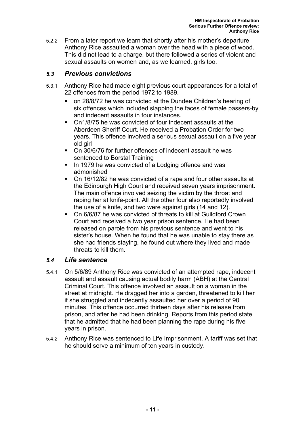5.2.2 From a later report we learn that shortly after his mother's departure Anthony Rice assaulted a woman over the head with a piece of wood. This did not lead to a charge, but there followed a series of violent and sexual assaults on women and, as we learned, girls too.

#### *5.3 Previous convictions*

- 5.3.1 Anthony Rice had made eight previous court appearances for a total of 22 offences from the period 1972 to 1989.
	- on 28/8/72 he was convicted at the Dundee Children's hearing of six offences which included slapping the faces of female passers-by and indecent assaults in four instances.
	- On1/8/75 he was convicted of four indecent assaults at the Aberdeen Sheriff Court. He received a Probation Order for two years. This offence involved a serious sexual assault on a five year old girl
	- On 30/6/76 for further offences of indecent assault he was sentenced to Borstal Training
	- In 1979 he was convicted of a Lodging offence and was admonished
	- On 16/12/82 he was convicted of a rape and four other assaults at the Edinburgh High Court and received seven years imprisonment. The main offence involved seizing the victim by the throat and raping her at knife-point. All the other four also reportedly involved the use of a knife, and two were against girls (14 and 12).
	- On 6/6/87 he was convicted of threats to kill at Guildford Crown Court and received a two year prison sentence. He had been released on parole from his previous sentence and went to his sister's house. When he found that he was unable to stay there as she had friends staying, he found out where they lived and made threats to kill them.

#### *5.4 Life sentence*

- 5.4.1 On 5/6/89 Anthony Rice was convicted of an attempted rape, indecent assault and assault causing actual bodily harm (ABH) at the Central Criminal Court. This offence involved an assault on a woman in the street at midnight. He dragged her into a garden, threatened to kill her if she struggled and indecently assaulted her over a period of 90 minutes. This offence occurred thirteen days after his release from prison, and after he had been drinking. Reports from this period state that he admitted that he had been planning the rape during his five years in prison.
- 5.4.2 Anthony Rice was sentenced to Life Imprisonment. A tariff was set that he should serve a minimum of ten years in custody.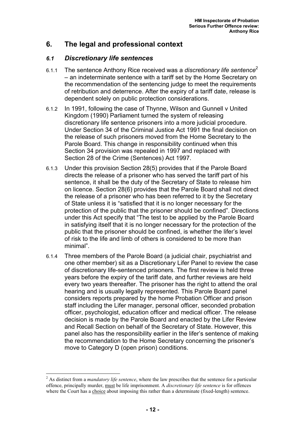## **6. The legal and professional context**

#### *6.1 Discretionary life sentences*

- 6.1.1 The sentence Anthony Rice received was a *discretionary life sentence*<sup>2</sup> – an indeterminate sentence with a tariff set by the Home Secretary on the recommendation of the sentencing judge to meet the requirements of retribution and deterrence. After the expiry of a tariff date, release is dependent solely on public protection considerations.
- 6.1.2 In 1991, following the case of Thynne, Wilson and Gunnell v United Kingdom (1990) Parliament turned the system of releasing discretionary life sentence prisoners into a more judicial procedure. Under Section 34 of the Criminal Justice Act 1991 the final decision on the release of such prisoners moved from the Home Secretary to the Parole Board. This change in responsibility continued when this Section 34 provision was repealed in 1997 and replaced with Section 28 of the Crime (Sentences) Act 1997.
- 6.1.3 Under this provision Section 28(5) provides that if the Parole Board directs the release of a prisoner who has served the tariff part of his sentence, it shall be the duty of the Secretary of State to release him on licence. Section 28(6) provides that the Parole Board shall not direct the release of a prisoner who has been referred to it by the Secretary of State unless it is "satisfied that it is no longer necessary for the protection of the public that the prisoner should be confined". Directions under this Act specify that "The test to be applied by the Parole Board in satisfying itself that it is no longer necessary for the protection of the public that the prisoner should be confined, is whether the lifer's level of risk to the life and limb of others is considered to be more than minimal".
- 6.1.4 Three members of the Parole Board (a judicial chair, psychiatrist and one other member) sit as a Discretionary Lifer Panel to review the case of discretionary life-sentenced prisoners. The first review is held three years before the expiry of the tariff date, and further reviews are held every two years thereafter. The prisoner has the right to attend the oral hearing and is usually legally represented. This Parole Board panel considers reports prepared by the home Probation Officer and prison staff including the Lifer manager, personal officer, seconded probation officer, psychologist, education officer and medical officer. The release decision is made by the Parole Board and enacted by the Lifer Review and Recall Section on behalf of the Secretary of State. However, this panel also has the responsibility earlier in the lifer's sentence of making the recommendation to the Home Secretary concerning the prisoner's move to Category D (open prison) conditions.

 $\overline{a}$ 

<sup>2</sup> As distinct from a *mandatory life sentence*, where the law prescribes that the sentence for a particular offence, principally murder, must be life imprisonment. A *discretionary life sentence* is for offences where the Court has a choice about imposing this rather than a determinate (fixed-length) sentence.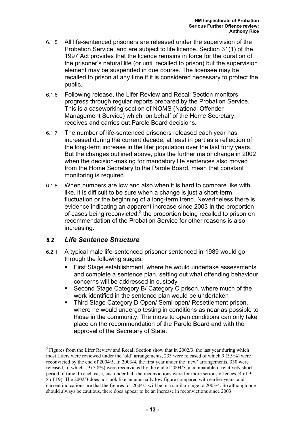- 6.1.5 All life-sentenced prisoners are released under the supervision of the Probation Service, and are subject to life licence. Section 31(1) of the 1997 Act provides that the licence remains in force for the duration of the prisoner's natural life (or until recalled to prison) but the supervision element may be suspended in due course. The licensee may be recalled to prison at any time if it is considered necessary to protect the public.
- 6.1.6 Following release, the Lifer Review and Recall Section monitors progress through regular reports prepared by the Probation Service. This is a caseworking section of NOMS (National Offender Management Service) which, on behalf of the Home Secretary, receives and carries out Parole Board decisions.
- 6.1.7 The number of life-sentenced prisoners released each year has increased during the current decade, at least in part as a reflection of the long-term increase in the lifer population over the last forty years. But the changes outlined above, plus the further major change in 2002 when the decision-making for mandatory life sentences also moved from the Home Secretary to the Parole Board, mean that constant monitoring is required.
- 6.1.8 When numbers are low and also when it is hard to compare like with like, it is difficult to be sure when a change is just a short-term fluctuation or the beginning of a long-term trend. Nevertheless there is evidence indicating an apparent increase since 2003 in the proportion of cases being reconvicted; $3$  the proportion being recalled to prison on recommendation of the Probation Service for other reasons is also increasing.

#### *6.2 Life Sentence Structure*

 $\overline{a}$ 

- 6.2.1 A typical male life-sentenced prisoner sentenced in 1989 would go through the following stages:
	- First Stage establishment, where he would undertake assessments and complete a sentence plan, setting out what offending behaviour concerns will be addressed in custody
	- Second Stage Category B/ Category C prison, where much of the work identified in the sentence plan would be undertaken
	- **Third Stage Category D Open/ Semi-open/ Resettlement prison.** where he would undergo testing in conditions as near as possible to those in the community. The move to open conditions can only take place on the recommendation of the Parole Board and with the approval of the Secretary of State.

 $3$  Figures from the Lifer Review and Recall Section show that in 2002/3, the last year during which most Lifers were reviewed under the 'old' arrangements, 233 were released of which 9 (3.9%) were reconvicted by the end of 2004/5. In 2003/4, the first year under the 'new' arrangements, 330 were released, of which 19 (5.8%) were reconvicted by the end of 2004/5, a comparable if relatively short period of time. In each case, just under half the reconvictions were for more serious offences (4 of 9; 8 of 19). The 2002/3 does not look like an unusually low figure compared with earlier years, and current indications are that the figures for 2004/5 will be in a similar range to 2003/4. So although one should always be cautious, there does appear to be an increase in reconvictions since 2003.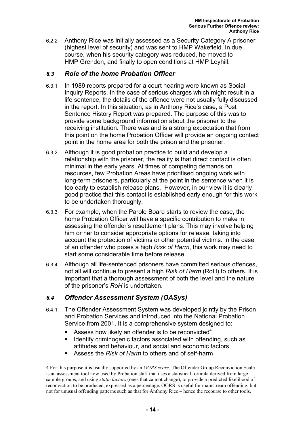6.2.2 Anthony Rice was initially assessed as a Security Category A prisoner (highest level of security) and was sent to HMP Wakefield. In due course, when his security category was reduced, he moved to HMP Grendon, and finally to open conditions at HMP Leyhill.

#### *6.3 Role of the home Probation Officer*

- 6.3.1 In 1989 reports prepared for a court hearing were known as Social Inquiry Reports. In the case of serious charges which might result in a life sentence, the details of the offence were not usually fully discussed in the report. In this situation, as in Anthony Rice's case, a Post Sentence History Report was prepared. The purpose of this was to provide some background information about the prisoner to the receiving institution. There was and is a strong expectation that from this point on the home Probation Officer will provide an ongoing contact point in the home area for both the prison and the prisoner.
- 6.3.2 Although it is good probation practice to build and develop a relationship with the prisoner, the reality is that direct contact is often minimal in the early years. At times of competing demands on resources, few Probation Areas have prioritised ongoing work with long-term prisoners, particularly at the point in the sentence when it is too early to establish release plans. However, in our view it is clearly good practice that this contact is established early enough for this work to be undertaken thoroughly.
- 6.3.3 For example, when the Parole Board starts to review the case, the home Probation Officer will have a specific contribution to make in assessing the offender's resettlement plans. This may involve helping him or her to consider appropriate options for release, taking into account the protection of victims or other potential victims. In the case of an offender who poses a high *Risk of Harm*, this work may need to start some considerable time before release.
- 6.3.4 Although all life-sentenced prisoners have committed serious offences, not all will continue to present a high *Risk of Harm* (RoH) to others. It is important that a thorough assessment of both the level and the nature of the prisoner's *RoH* is undertaken.

#### *6.4 Offender Assessment System (OASys)*

- 6.4.1 The Offender Assessment System was developed jointly by the Prison and Probation Services and introduced into the National Probation Service from 2001. It is a comprehensive system designed to:
	- Assess how likely an offender is to be reconvicted<sup>4</sup>
	- Identify criminogenic factors associated with offending, such as attitudes and behaviour, and social and economic factors
	- Assess the *Risk of Harm* to others and of self-harm

 $\overline{a}$ 4 For this purpose it is usually supported by an *OGRS score*. The Offender Group Reconviction Scale is an assessment tool now used by Probation staff that uses a statistical formula derived from large sample groups, and using *static factors* (ones that cannot change), to provide a predicted likelihood of reconviction to be produced, expressed as a percentage. OGRS is useful for mainstream offending, but not for unusual offending patterns such as that for Anthony Rice – hence the recourse to other tools.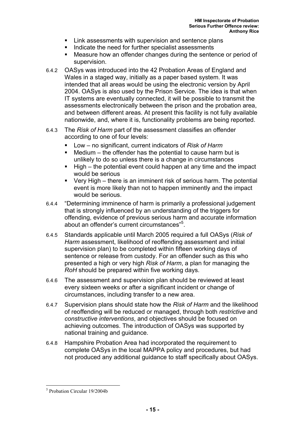- **EXECT:** Link assessments with supervision and sentence plans
- Indicate the need for further specialist assessments
- Measure how an offender changes during the sentence or period of supervision.
- 6.4.2 OASys was introduced into the 42 Probation Areas of England and Wales in a staged way, initially as a paper based system. It was intended that all areas would be using the electronic version by April 2004. OASys is also used by the Prison Service. The idea is that when IT systems are eventually connected, it will be possible to transmit the assessments electronically between the prison and the probation area, and between different areas. At present this facility is not fully available nationwide, and, where it is, functionality problems are being reported.
- 6.4.3 The *Risk of Harm* part of the assessment classifies an offender according to one of four levels:
	- Low no significant, current indicators of *Risk of Harm*
	- Medium the offender has the potential to cause harm but is unlikely to do so unless there is a change in circumstances
	- High the potential event could happen at any time and the impact would be serious
	- Very High there is an imminent risk of serious harm. The potential event is more likely than not to happen imminently and the impact would be serious.
- 6.4.4 "Determining imminence of harm is primarily a professional judgement that is strongly influenced by an understanding of the triggers for offending, evidence of previous serious harm and accurate information about an offender's current circumstances"<sup>5</sup>.
- 6.4.5 Standards applicable until March 2005 required a full OASys (*Risk of Harm* assessment, likelihood of reoffending assessment and initial supervision plan) to be completed within fifteen working days of sentence or release from custody. For an offender such as this who presented a high or very high *Risk of Harm*, a plan for managing the *RoH* should be prepared within five working days.
- 6.4.6 The assessment and supervision plan should be reviewed at least every sixteen weeks or after a significant incident or change of circumstances, including transfer to a new area.
- 6.4.7 Supervision plans should state how the *Risk of Harm* and the likelihood of reoffending will be reduced or managed, through both *restrictive* and *constructive interventions*, and objectives should be focused on achieving outcomes. The introduction of OASys was supported by national training and guidance.
- 6.4.8 Hampshire Probation Area had incorporated the requirement to complete OASys in the local MAPPA policy and procedures, but had not produced any additional guidance to staff specifically about OASys.

 $\overline{a}$ 

<sup>5</sup> Probation Circular 19/2004b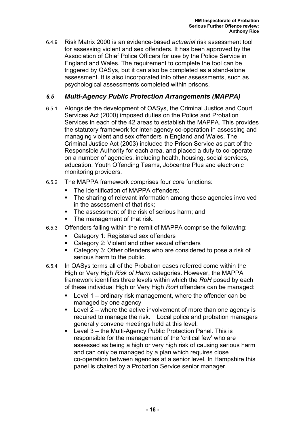6.4.9 Risk Matrix 2000 is an evidence-based *actuarial* risk assessment tool for assessing violent and sex offenders. It has been approved by the Association of Chief Police Officers for use by the Police Service in England and Wales. The requirement to complete the tool can be triggered by OASys, but it can also be completed as a stand-alone assessment. It is also incorporated into other assessments, such as psychological assessments completed within prisons.

### *6.5 Multi-Agency Public Protection Arrangements (MAPPA)*

- 6.5.1 Alongside the development of OASys, the Criminal Justice and Court Services Act (2000) imposed duties on the Police and Probation Services in each of the 42 areas to establish the MAPPA. This provides the statutory framework for inter-agency co-operation in assessing and managing violent and sex offenders in England and Wales. The Criminal Justice Act (2003) included the Prison Service as part of the Responsible Authority for each area, and placed a duty to co-operate on a number of agencies, including health, housing, social services, education, Youth Offending Teams, Jobcentre Plus and electronic monitoring providers.
- 6.5.2 The MAPPA framework comprises four core functions:
	- The identification of MAPPA offenders;
	- The sharing of relevant information among those agencies involved in the assessment of that risk;
	- **The assessment of the risk of serious harm; and**
	- **The management of that risk.**
- 6.5.3 Offenders falling within the remit of MAPPA comprise the following:
	- Category 1: Registered sex offenders
	- Category 2: Violent and other sexual offenders
	- Category 3: Other offenders who are considered to pose a risk of serious harm to the public.
- 6.5.4 In OASys terms all of the Probation cases referred come within the High or Very High *Risk of Harm* categories. However, the MAPPA framework identifies three levels within which the *RoH* posed by each of these individual High or Very High *RoH* offenders can be managed:
	- Level 1 ordinary risk management, where the offender can be managed by one agency
	- Level 2 where the active involvement of more than one agency is required to manage the risk. Local police and probation managers generally convene meetings held at this level.
	- Level 3 the Multi-Agency Public Protection Panel. This is responsible for the management of the 'critical few' who are assessed as being a high or very high risk of causing serious harm and can only be managed by a plan which requires close co-operation between agencies at a senior level. In Hampshire this panel is chaired by a Probation Service senior manager.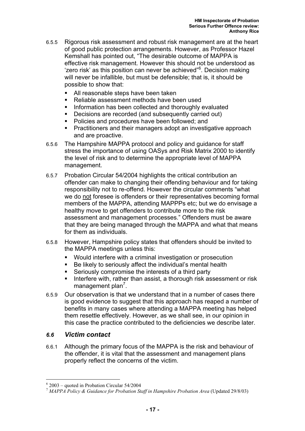- 6.5.5 Rigorous risk assessment and robust risk management are at the heart of good public protection arrangements. However, as Professor Hazel Kemshall has pointed out, "The desirable outcome of MAPPA is effective risk management. However this should not be understood as 'zero risk' as this position can never be achieved"<sup>6</sup>. Decision making will never be infallible, but must be defensible; that is, it should be possible to show that:
	- All reasonable steps have been taken
	- Reliable assessment methods have been used
	- **Information has been collected and thoroughly evaluated**
	- **Decisions are recorded (and subsequently carried out)**
	- **Policies and procedures have been followed; and**
	- Practitioners and their managers adopt an investigative approach and are proactive.
- 6.5.6 The Hampshire MAPPA protocol and policy and guidance for staff stress the importance of using OASys and Risk Matrix 2000 to identify the level of risk and to determine the appropriate level of MAPPA management.
- 6.5.7 Probation Circular 54/2004 highlights the critical contribution an offender can make to changing their offending behaviour and for taking responsibility not to re-offend. However the circular comments "what we do not foresee is offenders or their representatives becoming formal members of the MAPPA, attending MAPPPs etc; but we do envisage a healthy move to get offenders to contribute more to the risk assessment and management processes." Offenders must be aware that they are being managed through the MAPPA and what that means for them as individuals.
- 6.5.8 However, Hampshire policy states that offenders should be invited to the MAPPA meetings unless this:
	- Would interfere with a criminal investigation or prosecution
	- Be likely to seriously affect the individual's mental health
	- Seriously compromise the interests of a third party
	- **Interfere with, rather than assist, a thorough risk assessment or risk** management plan<sup>7</sup>.
- 6.5.9 Our observation is that we understand that in a number of cases there is good evidence to suggest that this approach has reaped a number of benefits in many cases where attending a MAPPA meeting has helped them resettle effectively. However, as we shall see, in our opinion in this case the practice contributed to the deficiencies we describe later.

#### *6.6 Victim contact*

 $\overline{a}$ 

6.6.1 Although the primary focus of the MAPPA is the risk and behaviour of the offender, it is vital that the assessment and management plans properly reflect the concerns of the victim.

<sup>6</sup> 2003 – quoted in Probation Circular 54/2004

<sup>&</sup>lt;sup>7</sup> MAPPA Policy & Guidance for Probation Staff in Hampshire Probation Area (Updated 29/8/03)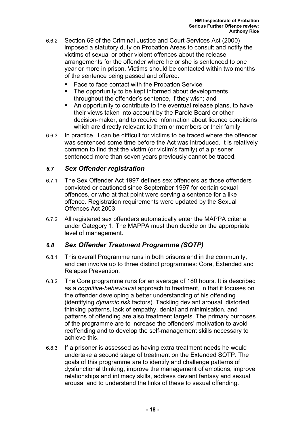- 6.6.2 Section 69 of the Criminal Justice and Court Services Act (2000) imposed a statutory duty on Probation Areas to consult and notify the victims of sexual or other violent offences about the release arrangements for the offender where he or she is sentenced to one year or more in prison. Victims should be contacted within two months of the sentence being passed and offered:
	- Face to face contact with the Probation Service
	- The opportunity to be kept informed about developments throughout the offender's sentence, if they wish; and
	- An opportunity to contribute to the eventual release plans, to have their views taken into account by the Parole Board or other decision-maker, and to receive information about licence conditions which are directly relevant to them or members or their family
- 6.6.3 In practice, it can be difficult for victims to be traced where the offender was sentenced some time before the Act was introduced. It is relatively common to find that the victim (or victim's family) of a prisoner sentenced more than seven years previously cannot be traced.

#### *6.7 Sex Offender registration*

- 6.7.1 The Sex Offender Act 1997 defines sex offenders as those offenders convicted or cautioned since September 1997 for certain sexual offences, or who at that point were serving a sentence for a like offence. Registration requirements were updated by the Sexual Offences Act 2003.
- 6.7.2 All registered sex offenders automatically enter the MAPPA criteria under Category 1. The MAPPA must then decide on the appropriate level of management.

#### *6.8 Sex Offender Treatment Programme (SOTP)*

- 6.8.1 This overall Programme runs in both prisons and in the community, and can involve up to three distinct programmes: Core, Extended and Relapse Prevention.
- 6.8.2 The Core programme runs for an average of 180 hours. It is described as a *cognitive-behavioural* approach to treatment, in that it focuses on the offender developing a better understanding of his offending (identifying *dynamic risk* factors). Tackling deviant arousal, distorted thinking patterns, lack of empathy, denial and minimisation, and patterns of offending are also treatment targets. The primary purposes of the programme are to increase the offenders' motivation to avoid reoffending and to develop the self-management skills necessary to achieve this.
- 6.8.3 If a prisoner is assessed as having extra treatment needs he would undertake a second stage of treatment on the Extended SOTP. The goals of this programme are to identify and challenge patterns of dysfunctional thinking, improve the management of emotions, improve relationships and intimacy skills, address deviant fantasy and sexual arousal and to understand the links of these to sexual offending.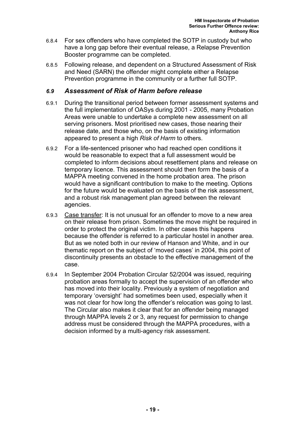- 6.8.4 For sex offenders who have completed the SOTP in custody but who have a long gap before their eventual release, a Relapse Prevention Booster programme can be completed.
- 6.8.5 Following release, and dependent on a Structured Assessment of Risk and Need (SARN) the offender might complete either a Relapse Prevention programme in the community or a further full SOTP.

#### *6.9 Assessment of Risk of Harm before release*

- 6.9.1 During the transitional period between former assessment systems and the full implementation of OASys during 2001 - 2005, many Probation Areas were unable to undertake a complete new assessment on all serving prisoners. Most prioritised new cases, those nearing their release date, and those who, on the basis of existing information appeared to present a high *Risk of Harm* to others.
- 6.9.2 For a life-sentenced prisoner who had reached open conditions it would be reasonable to expect that a full assessment would be completed to inform decisions about resettlement plans and release on temporary licence. This assessment should then form the basis of a MAPPA meeting convened in the home probation area. The prison would have a significant contribution to make to the meeting. Options for the future would be evaluated on the basis of the risk assessment, and a robust risk management plan agreed between the relevant agencies.
- 6.9.3 Case transfer: It is not unusual for an offender to move to a new area on their release from prison. Sometimes the move might be required in order to protect the original victim. In other cases this happens because the offender is referred to a particular hostel in another area. But as we noted both in our review of Hanson and White, and in our thematic report on the subject of 'moved cases' in 2004, this point of discontinuity presents an obstacle to the effective management of the case.
- 6.9.4 In September 2004 Probation Circular 52/2004 was issued, requiring probation areas formally to accept the supervision of an offender who has moved into their locality. Previously a system of negotiation and temporary 'oversight' had sometimes been used, especially when it was not clear for how long the offender's relocation was going to last. The Circular also makes it clear that for an offender being managed through MAPPA levels 2 or 3, any request for permission to change address must be considered through the MAPPA procedures, with a decision informed by a multi-agency risk assessment.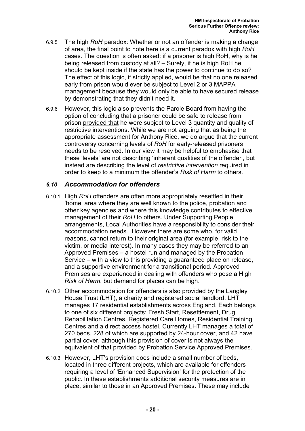- 6.9.5 The high *RoH* paradox: Whether or not an offender is making a change of area, the final point to note here is a current paradox with high *RoH* cases. The question is often asked: if a prisoner is high RoH, why is he being released from custody at all? – Surely, if he is high RoH he should be kept inside if the state has the power to continue to do so? The effect of this logic, if strictly applied, would be that no one released early from prison would ever be subject to Level 2 or 3 MAPPA management because they would only be able to have secured release by demonstrating that they didn't need it.
- 6.9.6 However, this logic also prevents the Parole Board from having the option of concluding that a prisoner could be safe to release from prison provided that he were subject to Level 3 quantity and quality of restrictive interventions. While we are not arguing that as being the appropriate assessment for Anthony Rice, we do argue that the current controversy concerning levels of *RoH* for early-released prisoners needs to be resolved. In our view it may be helpful to emphasise that these 'levels' are not describing 'inherent qualities of the offender', but instead are describing the level of *restrictive intervention* required in order to keep to a minimum the offender's *Risk of Harm* to others.

#### *6.10 Accommodation for offenders*

- 6.10.1 High *RoH* offenders are often more appropriately resettled in their 'home' area where they are well known to the police, probation and other key agencies and where this knowledge contributes to effective management of their *RoH* to others. Under Supporting People arrangements, Local Authorities have a responsibility to consider their accommodation needs. However there are some who, for valid reasons, cannot return to their original area (for example, risk to the victim, or media interest). In many cases they may be referred to an Approved Premises – a hostel run and managed by the Probation Service – with a view to this providing a guaranteed place on release, and a supportive environment for a transitional period. Approved Premises are experienced in dealing with offenders who pose a High *Risk of Harm*, but demand for places can be high.
- 6.10.2 Other accommodation for offenders is also provided by the Langley House Trust (LHT), a charity and registered social landlord. LHT manages 17 residential establishments across England. Each belongs to one of six different projects: Fresh Start, Resettlement, Drug Rehabilitation Centres, Registered Care Homes, Residential Training Centres and a direct access hostel. Currently LHT manages a total of 270 beds, 228 of which are supported by 24-hour cover, and 42 have partial cover, although this provision of cover is not always the equivalent of that provided by Probation Service Approved Premises.
- 6.10.3 However, LHT's provision does include a small number of beds, located in three different projects, which are available for offenders requiring a level of 'Enhanced Supervision' for the protection of the public. In these establishments additional security measures are in place, similar to those in an Approved Premises. These may include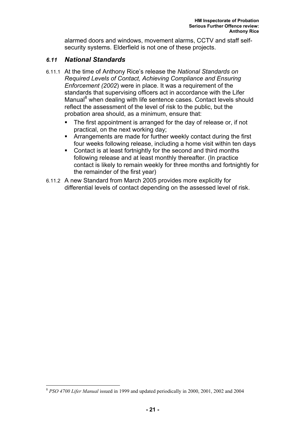alarmed doors and windows, movement alarms, CCTV and staff selfsecurity systems. Elderfield is not one of these projects.

#### *6.11 National Standards*

- 6.11.1 At the time of Anthony Rice's release the *National Standards on Required Levels of Contact, Achieving Compliance and Ensuring Enforcement (2002*) were in place. It was a requirement of the standards that supervising officers act in accordance with the Lifer Manual<sup>8</sup> when dealing with life sentence cases. Contact levels should reflect the assessment of the level of risk to the public, but the probation area should, as a minimum, ensure that:
	- The first appointment is arranged for the day of release or, if not practical, on the next working day;
	- Arrangements are made for further weekly contact during the first four weeks following release, including a home visit within ten days
	- Contact is at least fortnightly for the second and third months following release and at least monthly thereafter. (In practice contact is likely to remain weekly for three months and fortnightly for the remainder of the first year)
- 6.11.2 A new Standard from March 2005 provides more explicitly for differential levels of contact depending on the assessed level of risk.

 $\overline{a}$ 

<sup>8</sup> *PSO 4700 Lifer Manual* issued in 1999 and updated periodically in 2000, 2001, 2002 and 2004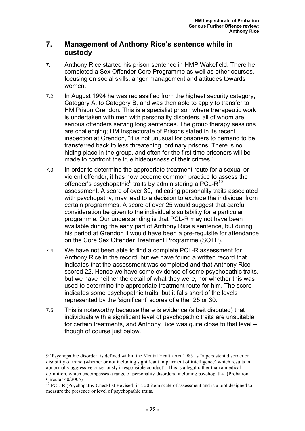### **7. Management of Anthony Rice's sentence while in custody**

- 7.1 Anthony Rice started his prison sentence in HMP Wakefield. There he completed a Sex Offender Core Programme as well as other courses, focusing on social skills, anger management and attitudes towards women.
- 7.2 In August 1994 he was reclassified from the highest security category, Category A, to Category B, and was then able to apply to transfer to HM Prison Grendon. This is a specialist prison where therapeutic work is undertaken with men with personality disorders, all of whom are serious offenders serving long sentences. The group therapy sessions are challenging; HM Inspectorate of Prisons stated in its recent inspection at Grendon, "it is not unusual for prisoners to demand to be transferred back to less threatening, ordinary prisons. There is no hiding place in the group, and often for the first time prisoners will be made to confront the true hideousness of their crimes."
- 7.3 In order to determine the appropriate treatment route for a sexual or violent offender, it has now become common practice to assess the offender's psychopathic $^9$  traits by administering a PCL-R<sup>10</sup> assessment. A score of over 30, indicating personality traits associated with psychopathy, may lead to a decision to exclude the individual from certain programmes. A score of over 25 would suggest that careful consideration be given to the individual's suitability for a particular programme. Our understanding is that PCL-R may not have been available during the early part of Anthony Rice's sentence, but during his period at Grendon it would have been a pre-requisite for attendance on the Core Sex Offender Treatment Programme (SOTP).
- 7.4 We have not been able to find a complete PCL-R assessment for Anthony Rice in the record, but we have found a written record that indicates that the assessment was completed and that Anthony Rice scored 22. Hence we have some evidence of some psychopathic traits, but we have neither the detail of what they were, nor whether this was used to determine the appropriate treatment route for him. The score indicates some psychopathic traits, but it falls short of the levels represented by the 'significant' scores of either 25 or 30.
- 7.5 This is noteworthy because there is evidence (albeit disputed) that individuals with a significant level of psychopathic traits are unsuitable for certain treatments, and Anthony Rice was quite close to that level – though of course just below.

 $\overline{a}$ 

<sup>9 &#</sup>x27;Psychopathic disorder' is defined within the Mental Health Act 1983 as "a persistent disorder or disability of mind (whether or not including significant impairment of intelligence) which results in abnormally aggressive or seriously irresponsible conduct". This is a legal rather than a medical definition, which encompasses a range of personality disorders, including psychopathy. (Probation Circular 40/2005)

<sup>&</sup>lt;sup>10</sup> PCL-R (Psychopathy Checklist Revised) is a 20-item scale of assessment and is a tool designed to measure the presence or level of psychopathic traits.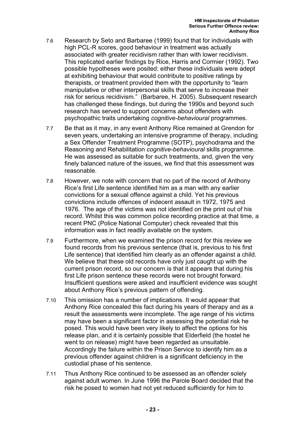- 7.6 Research by Seto and Barbaree (1999) found that for individuals with high PCL-R scores, good behaviour in treatment was actually associated with greater recidivism rather than with lower recidivism. This replicated earlier findings by Rice, Harris and Cormier (1992). Two possible hypotheses were posited: either these individuals were adept at exhibiting behaviour that would contribute to positive ratings by therapists, or treatment provided them with the opportunity to "learn manipulative or other interpersonal skills that serve to increase their risk for serious recidivism." (Barbaree, H. 2005). Subsequent research has challenged these findings, but during the 1990s and beyond such research has served to support concerns about offenders with psychopathic traits undertaking *cognitive-behavioural* programmes.
- 7.7 Be that as it may, in any event Anthony Rice remained at Grendon for seven years, undertaking an intensive programme of therapy, including a Sex Offender Treatment Programme (SOTP), psychodrama and the Reasoning and Rehabilitation *cognitive-behavioural* skills programme. He was assessed as suitable for such treatments, and, given the very finely balanced nature of the issues, we find that this assessment was reasonable.
- 7.8 However, we note with concern that no part of the record of Anthony Rice's first Life sentence identified him as a man with any earlier convictions for a sexual offence against a child. Yet his previous convictions include offences of indecent assault in 1972, 1975 and 1976. The age of the victims was not identified on the print out of his record. Whilst this was common police recording practice at that time, a recent PNC (Police National Computer) check revealed that this information was in fact readily available on the system.
- 7.9 Furthermore, when we examined the prison record for this review we found records from his previous sentence (that is, previous to his first Life sentence) that identified him clearly as an offender against a child. We believe that these old records have only just caught up with the current prison record, so our concern is that it appears that during his first Life prison sentence these records were not brought forward. Insufficient questions were asked and insufficient evidence was sought about Anthony Rice's previous pattern of offending.
- 7.10 This omission has a number of implications. It would appear that Anthony Rice concealed this fact during his years of therapy and as a result the assessments were incomplete. The age range of his victims may have been a significant factor in assessing the potential risk he posed. This would have been very likely to affect the options for his release plan, and it is certainly possible that Elderfield (the hostel he went to on release) might have been regarded as unsuitable. Accordingly the failure within the Prison Service to identify him as a previous offender against children is a significant deficiency in the custodial phase of his sentence.
- 7.11 Thus Anthony Rice continued to be assessed as an offender solely against adult women. In June 1996 the Parole Board decided that the risk he posed to women had not yet reduced sufficiently for him to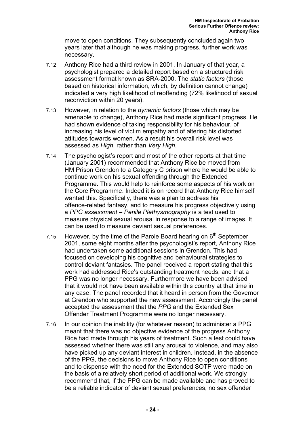move to open conditions. They subsequently concluded again two years later that although he was making progress, further work was necessary.

- 7.12 Anthony Rice had a third review in 2001. In January of that year, a psychologist prepared a detailed report based on a structured risk assessment format known as SRA-2000. The *static factors* (those based on historical information, which, by definition cannot change) indicated a very high likelihood of reoffending (72% likelihood of sexual reconviction within 20 years).
- 7.13 However, in relation to the *dynamic factors* (those which may be amenable to change), Anthony Rice had made significant progress. He had shown evidence of taking responsibility for his behaviour, of increasing his level of victim empathy and of altering his distorted attitudes towards women. As a result his overall risk level was assessed as *High*, rather than *Very High*.
- 7.14 The psychologist's report and most of the other reports at that time (January 2001) recommended that Anthony Rice be moved from HM Prison Grendon to a Category C prison where he would be able to continue work on his sexual offending through the Extended Programme. This would help to reinforce some aspects of his work on the Core Programme. Indeed it is on record that Anthony Rice himself wanted this. Specifically, there was a plan to address his offence-related fantasy, and to measure his progress objectively using a *PPG assessment* – *Penile Plethysmography* is a test used to measure physical sexual arousal in response to a range of images. It can be used to measure deviant sexual preferences.
- 7.15 However, by the time of the Parole Board hearing on  $6<sup>th</sup>$  September 2001, some eight months after the psychologist's report, Anthony Rice had undertaken some additional sessions in Grendon. This had focused on developing his cognitive and behavioural strategies to control deviant fantasies. The panel received a report stating that this work had addressed Rice's outstanding treatment needs, and that a PPG was no longer necessary. Furthermore we have been advised that it would not have been available within this country at that time in any case. The panel recorded that it heard in person from the Governor at Grendon who supported the new assessment. Accordingly the panel accepted the assessment that the *PPG* and the Extended Sex Offender Treatment Programme were no longer necessary.
- 7.16 In our opinion the inability (for whatever reason) to administer a PPG meant that there was no objective evidence of the progress Anthony Rice had made through his years of treatment. Such a test could have assessed whether there was still any arousal to violence, and may also have picked up any deviant interest in children. Instead, in the absence of the PPG, the decisions to move Anthony Rice to open conditions and to dispense with the need for the Extended SOTP were made on the basis of a relatively short period of additional work. We strongly recommend that, if the PPG can be made available and has proved to be a reliable indicator of deviant sexual preferences, no sex offender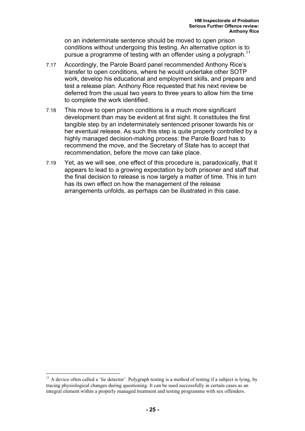on an indeterminate sentence should be moved to open prison conditions without undergoing this testing. An alternative option is to pursue a programme of testing with an offender using a polygraph.<sup>11</sup>

- 7.17 Accordingly, the Parole Board panel recommended Anthony Rice's transfer to open conditions, where he would undertake other SOTP work, develop his educational and employment skills, and prepare and test a release plan. Anthony Rice requested that his next review be deferred from the usual two years to three years to allow him the time to complete the work identified.
- 7.18 This move to open prison conditions is a much more significant development than may be evident at first sight. It constitutes the first tangible step by an indeterminately sentenced prisoner towards his or her eventual release. As such this step is quite properly controlled by a highly managed decision-making process: the Parole Board has to recommend the move, and the Secretary of State has to accept that recommendation, before the move can take place.
- 7.19 Yet, as we will see, one effect of this procedure is, paradoxically, that it appears to lead to a growing expectation by both prisoner and staff that the final decision to release is now largely a matter of time. This in turn has its own effect on how the management of the release arrangements unfolds, as perhaps can be illustrated in this case.

 $\overline{a}$ 

 $11$  A device often called a 'lie detector'. Polygraph testing is a method of testing if a subject is lying, by tracing physiological changes during questioning. It can be used successfully in certain cases as an integral element within a properly managed treatment and testing programme with sex offenders.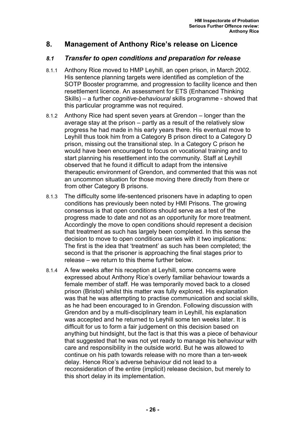## **8. Management of Anthony Rice's release on Licence**

#### *8.1 Transfer to open conditions and preparation for release*

- 8.1.1 Anthony Rice moved to HMP Leyhill, an open prison, in March 2002. His sentence planning targets were identified as completion of the SOTP Booster programme*,* and progression to facility licence and then resettlement licence. An assessment for ETS (Enhanced Thinking Skills) – a further *cognitive-behavioural* skills programme - showed that this particular programme was not required.
- 8.1.2 Anthony Rice had spent seven years at Grendon longer than the average stay at the prison – partly as a result of the relatively slow progress he had made in his early years there. His eventual move to Leyhill thus took him from a Category B prison direct to a Category D prison, missing out the transitional step. In a Category C prison he would have been encouraged to focus on vocational training and to start planning his resettlement into the community. Staff at Leyhill observed that he found it difficult to adapt from the intensive therapeutic environment of Grendon, and commented that this was not an uncommon situation for those moving there directly from there or from other Category B prisons.
- 8.1.3 The difficulty some life-sentenced prisoners have in adapting to open conditions has previously been noted by HMI Prisons. The growing consensus is that open conditions should serve as a test of the progress made to date and not as an opportunity for more treatment. Accordingly the move to open conditions should represent a decision that treatment as such has largely been completed. In this sense the decision to move to open conditions carries with it two implications: The first is the idea that 'treatment' as such has been completed; the second is that the prisoner is approaching the final stages prior to release – we return to this theme further below.
- 8.1.4 A few weeks after his reception at Leyhill, some concerns were expressed about Anthony Rice's overly familiar behaviour towards a female member of staff. He was temporarily moved back to a closed prison (Bristol) whilst this matter was fully explored. His explanation was that he was attempting to practise communication and social skills, as he had been encouraged to in Grendon. Following discussion with Grendon and by a multi-disciplinary team in Leyhill, his explanation was accepted and he returned to Leyhill some ten weeks later. It is difficult for us to form a fair judgement on this decision based on anything but hindsight, but the fact is that this was a piece of behaviour that suggested that he was not yet ready to manage his behaviour with care and responsibility in the outside world. But he was allowed to continue on his path towards release with no more than a ten-week delay. Hence Rice's adverse behaviour did not lead to a reconsideration of the entire (implicit) release decision, but merely to this short delay in its implementation.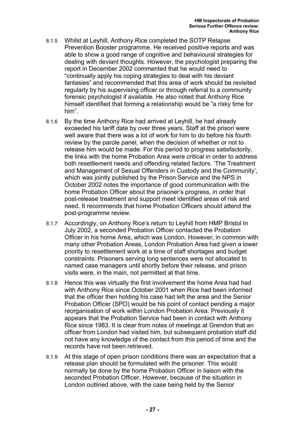- 8.1.5 Whilst at Leyhill, Anthony Rice completed the SOTP Relapse Prevention Booster programme. He received positive reports and was able to show a good range of cognitive and behavioural strategies for dealing with deviant thoughts. However, the psychologist preparing the report in December 2002 commented that he would need to "continually apply his coping strategies to deal with his deviant fantasies" and recommended that this area of work should be revisited regularly by his supervising officer or through referral to a community forensic psychologist if available. He also noted that Anthony Rice himself identified that forming a relationship would be "a risky time for him".
- 8.1.6 By the time Anthony Rice had arrived at Leyhill, he had already exceeded his tariff date by over three years. Staff at the prison were well aware that there was a lot of work for him to do before his fourth review by the parole panel, when the decision of whether or not to release him would be made. For this period to progress satisfactorily, the links with the home Probation Area were critical in order to address both resettlement needs and offending related factors. 'The Treatment and Management of Sexual Offenders in Custody and the Community', which was jointly published by the Prison Service and the NPS in October 2002 notes the importance of good communication with the home Probation Officer about the prisoner's progress, in order that post-release treatment and support meet identified areas of risk and need. It recommends that home Probation Officers should attend the post-programme review.
- 8.1.7 Accordingly, on Anthony Rice's return to Leyhill from HMP Bristol In July 2002, a seconded Probation Officer contacted the Probation Officer in his home Area, which was London. However, in common with many other Probation Areas, London Probation Area had given a lower priority to resettlement work at a time of staff shortages and budget constraints. Prisoners serving long sentences were not allocated to named case managers until shortly before their release, and prison visits were, in the main, not permitted at that time.
- 8.1.8 Hence this was virtually the first involvement the home Area had had with Anthony Rice since October 2001 when Rice had been informed that the officer then holding his case had left the area and the Senior Probation Officer (SPO) would be his point of contact pending a major reorganisation of work within London Probation Area. Previously it appears that the Probation Service had been in contact with Anthony Rice since 1983. It is clear from notes of meetings at Grendon that an officer from London had visited him, but subsequent probation staff did not have any knowledge of the contact from this period of time and the records have not been retrieved.
- 8.1.9 At this stage of open prison conditions there was an expectation that a release plan should be formulated with the prisoner. This would normally be done by the home Probation Officer in liaison with the seconded Probation Officer. However, because of the situation in London outlined above, with the case being held by the Senior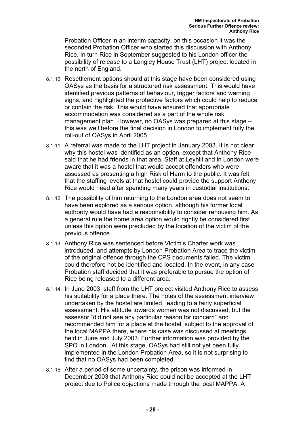Probation Officer in an interim capacity, on this occasion it was the seconded Probation Officer who started this discussion with Anthony Rice. In turn Rice in September suggested to his London officer the possibility of release to a Langley House Trust (LHT) project located in the north of England.

- 8.1.10 Resettlement options should at this stage have been considered using OASys as the basis for a structured risk assessment. This would have identified previous patterns of behaviour, trigger factors and warning signs, and highlighted the protective factors which could help to reduce or contain the risk. This would have ensured that appropriate accommodation was considered as a part of the whole risk management plan. However, no OASys was prepared at this stage – this was well before the final decision in London to implement fully the roll-out of OASys in April 2005.
- 8.1.11 A referral was made to the LHT project in January 2003. It is not clear why this hostel was identified as an option, except that Anthony Rice said that he had friends in that area. Staff at Leyhill and in London were aware that it was a hostel that would accept offenders who were assessed as presenting a high Risk of Harm to the public. It was felt that the staffing levels at that hostel could provide the support Anthony Rice would need after spending many years in custodial institutions.
- 8.1.12 The possibility of him returning to the London area does not seem to have been explored as a serious option, although his former local authority would have had a responsibility to consider rehousing him. As a general rule the home area option would rightly be considered first unless this option were precluded by the location of the victim of the previous offence.
- 8.1.13 Anthony Rice was sentenced before Victim's Charter work was introduced, and attempts by London Probation Area to trace the victim of the original offence through the CPS documents failed. The victim could therefore not be identified and located. In the event, in any case Probation staff decided that it was preferable to pursue the option of Rice being released to a different area.
- 8.1.14 In June 2003, staff from the LHT project visited Anthony Rice to assess his suitability for a place there. The notes of the assessment interview undertaken by the hostel are limited, leading to a fairly superficial assessment. His attitude towards women was not discussed, but the assessor "did not see any particular reason for concern" and recommended him for a place at the hostel, subject to the approval of the local MAPPA there, where his case was discussed at meetings held in June and July 2003. Further information was provided by the SPO in London. At this stage, OASys had still not yet been fully implemented in the London Probation Area, so it is not surprising to find that no OASys had been completed.
- 8.1.15 After a period of some uncertainty, the prison was informed in December 2003 that Anthony Rice could not be accepted at the LHT project due to Police objections made through the local MAPPA. A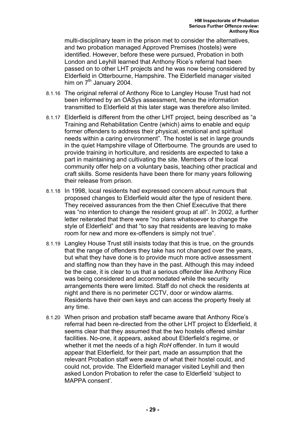multi-disciplinary team in the prison met to consider the alternatives, and two probation managed Approved Premises (hostels) were identified. However, before these were pursued, Probation in both London and Leyhill learned that Anthony Rice's referral had been passed on to other LHT projects and he was now being considered by Elderfield in Otterbourne, Hampshire. The Elderfield manager visited him on  $7<sup>th</sup>$  January 2004.

- 8.1.16 The original referral of Anthony Rice to Langley House Trust had not been informed by an OASys assessment, hence the information transmitted to Elderfield at this later stage was therefore also limited.
- 8.1.17 Elderfield is different from the other LHT project, being described as "a Training and Rehabilitation Centre (which) aims to enable and equip former offenders to address their physical, emotional and spiritual needs within a caring environment". The hostel is set in large grounds in the quiet Hampshire village of Otterbourne. The grounds are used to provide training in horticulture, and residents are expected to take a part in maintaining and cultivating the site. Members of the local community offer help on a voluntary basis, teaching other practical and craft skills. Some residents have been there for many years following their release from prison.
- 8.1.18 In 1998, local residents had expressed concern about rumours that proposed changes to Elderfield would alter the type of resident there. They received assurances from the then Chief Executive that there was "no intention to change the resident group at all". In 2002, a further letter reiterated that there were "no plans whatsoever to change the style of Elderfield" and that "to say that residents are leaving to make room for new and more ex-offenders is simply not true".
- 8.1.19 Langley House Trust still insists today that this is true, on the grounds that the range of offenders they take has not changed over the years, but what they have done is to provide much more active assessment and staffing now than they have in the past. Although this may indeed be the case, it is clear to us that a serious offender like Anthony Rice was being considered and accommodated while the security arrangements there were limited. Staff do not check the residents at night and there is no perimeter CCTV, door or window alarms. Residents have their own keys and can access the property freely at any time.
- 8.1.20 When prison and probation staff became aware that Anthony Rice's referral had been re-directed from the other LHT project to Elderfield, it seems clear that they assumed that the two hostels offered similar facilities. No-one, it appears, asked about Elderfield's regime, or whether it met the needs of a high *RoH* offender. In turn it would appear that Elderfield, for their part, made an assumption that the relevant Probation staff were aware of what their hostel could, and could not, provide. The Elderfield manager visited Leyhill and then asked London Probation to refer the case to Elderfield 'subject to MAPPA consent'.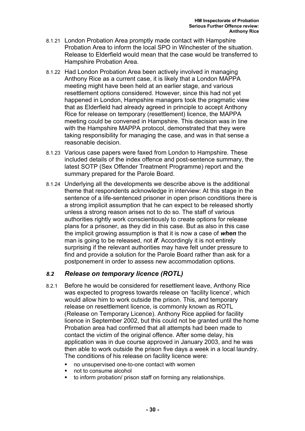- 8.1.21 London Probation Area promptly made contact with Hampshire Probation Area to inform the local SPO in Winchester of the situation. Release to Elderfield would mean that the case would be transferred to Hampshire Probation Area.
- 8.1.22 Had London Probation Area been actively involved in managing Anthony Rice as a current case, it is likely that a London MAPPA meeting might have been held at an earlier stage, and various resettlement options considered. However, since this had not yet happened in London, Hampshire managers took the pragmatic view that as Elderfield had already agreed in principle to accept Anthony Rice for release on temporary (resettlement) licence, the MAPPA meeting could be convened in Hampshire. This decision was in line with the Hampshire MAPPA protocol, demonstrated that they were taking responsibility for managing the case, and was in that sense a reasonable decision.
- 8.1.23 Various case papers were faxed from London to Hampshire. These included details of the index offence and post-sentence summary, the latest SOTP (Sex Offender Treatment Programme) report and the summary prepared for the Parole Board.
- 8.1.24 Underlying all the developments we describe above is the additional theme that respondents acknowledge in interview: At this stage in the sentence of a life-sentenced prisoner in open prison conditions there is a strong implicit assumption that he can expect to be released shortly unless a strong reason arises not to do so. The staff of various authorities rightly work conscientiously to create options for release plans for a prisoner, as they did in this case. But as also in this case the implicit growing assumption is that it is now a case of *when* the man is going to be released, not *if*. Accordingly it is not entirely surprising if the relevant authorities may have felt under pressure to find and provide a solution for the Parole Board rather than ask for a postponement in order to assess new accommodation options.

#### *8.2 Release on temporary licence (ROTL)*

- 8.2.1 Before he would be considered for resettlement leave, Anthony Rice was expected to progress towards release on 'facility licence', which would allow him to work outside the prison. This, and temporary release on resettlement licence, is commonly known as ROTL (Release on Temporary Licence). Anthony Rice applied for facility licence in September 2002, but this could not be granted until the home Probation area had confirmed that all attempts had been made to contact the victim of the original offence. After some delay, his application was in due course approved in January 2003, and he was then able to work outside the prison five days a week in a local laundry. The conditions of his release on facility licence were:
	- no unsupervised one-to-one contact with women
	- not to consume alcohol
	- to inform probation/ prison staff on forming any relationships.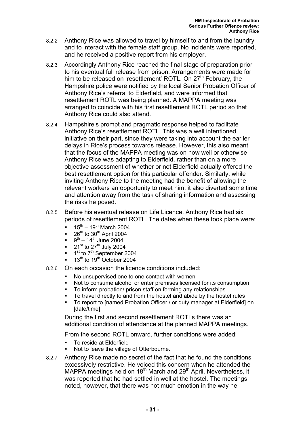- 8.2.2 Anthony Rice was allowed to travel by himself to and from the laundry and to interact with the female staff group. No incidents were reported, and he received a positive report from his employer.
- 8.2.3 Accordingly Anthony Rice reached the final stage of preparation prior to his eventual full release from prison. Arrangements were made for him to be released on 'resettlement' ROTL. On 27<sup>th</sup> February, the Hampshire police were notified by the local Senior Probation Officer of Anthony Rice's referral to Elderfield, and were informed that resettlement ROTL was being planned. A MAPPA meeting was arranged to coincide with his first resettlement ROTL period so that Anthony Rice could also attend.
- 8.2.4 Hampshire's prompt and pragmatic response helped to facilitate Anthony Rice's resettlement ROTL. This was a well intentioned initiative on their part, since they were taking into account the earlier delays in Rice's process towards release. However, this also meant that the focus of the MAPPA meeting was on how well or otherwise Anthony Rice was adapting to Elderfield, rather than on a more objective assessment of whether or not Elderfield actually offered the best resettlement option for this particular offender. Similarly, while inviting Anthony Rice to the meeting had the benefit of allowing the relevant workers an opportunity to meet him, it also diverted some time and attention away from the task of sharing information and assessing the risks he posed.
- 8.2.5 Before his eventual release on Life Licence, Anthony Rice had six periods of resettlement ROTL. The dates when these took place were:
	- $15^{th} 19^{th}$  March 2004
	- $\bullet$  26<sup>th</sup> to 30<sup>th</sup> April 2004
	- $9^{th} 14^{th}$  June 2004
	- $\bullet$  21<sup>st</sup> to 27<sup>th</sup> July 2004
	- $\blacksquare$  1<sup>st</sup> to 7<sup>th</sup> September 2004
	- $13<sup>th</sup>$  to 19<sup>th</sup> October 2004
- 8.2.6 On each occasion the licence conditions included:
	- No unsupervised one to one contact with women
	- Not to consume alcohol or enter premises licensed for its consumption
	- To inform probation/ prison staff on forming any relationships
	- To travel directly to and from the hostel and abide by the hostel rules
	- To report to [named Probation Officer / or duty manager at Elderfield] on [date/time]

During the first and second resettlement ROTLs there was an additional condition of attendance at the planned MAPPA meetings.

From the second ROTL onward, further conditions were added:

- **To reside at Elderfield**
- Not to leave the village of Otterbourne.
- 8.2.7 Anthony Rice made no secret of the fact that he found the conditions excessively restrictive. He voiced this concern when he attended the MAPPA meetings held on  $18<sup>th</sup>$  March and  $29<sup>th</sup>$  April. Nevertheless, it was reported that he had settled in well at the hostel. The meetings noted, however, that there was not much emotion in the way he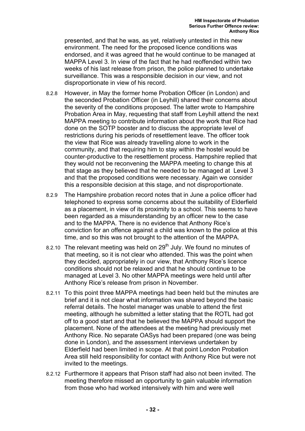presented, and that he was, as yet, relatively untested in this new environment. The need for the proposed licence conditions was endorsed, and it was agreed that he would continue to be managed at MAPPA Level 3. In view of the fact that he had reoffended within two weeks of his last release from prison, the police planned to undertake surveillance. This was a responsible decision in our view, and not disproportionate in view of his record.

- 8.2.8 However, in May the former home Probation Officer (in London) and the seconded Probation Officer (in Leyhill) shared their concerns about the severity of the conditions proposed. The latter wrote to Hampshire Probation Area in May, requesting that staff from Leyhill attend the next MAPPA meeting to contribute information about the work that Rice had done on the SOTP booster and to discuss the appropriate level of restrictions during his periods of resettlement leave. The officer took the view that Rice was already travelling alone to work in the community, and that requiring him to stay within the hostel would be counter-productive to the resettlement process. Hampshire replied that they would not be reconvening the MAPPA meeting to change this at that stage as they believed that he needed to be managed at Level 3 and that the proposed conditions were necessary. Again we consider this a responsible decision at this stage, and not disproportionate.
- 8.2.9 The Hampshire probation record notes that in June a police officer had telephoned to express some concerns about the suitability of Elderfield as a placement, in view of its proximity to a school. This seems to have been regarded as a misunderstanding by an officer new to the case and to the MAPPA. There is no evidence that Anthony Rice's conviction for an offence against a child was known to the police at this time, and so this was not brought to the attention of the MAPPA.
- 8.2.10 The relevant meeting was held on  $29<sup>th</sup>$  July. We found no minutes of that meeting, so it is not clear who attended. This was the point when they decided, appropriately in our view, that Anthony Rice's licence conditions should not be relaxed and that he should continue to be managed at Level 3. No other MAPPA meetings were held until after Anthony Rice's release from prison in November.
- 8.2.11 To this point three MAPPA meetings had been held but the minutes are brief and it is not clear what information was shared beyond the basic referral details. The hostel manager was unable to attend the first meeting, although he submitted a letter stating that the ROTL had got off to a good start and that he believed the MAPPA should support the placement. None of the attendees at the meeting had previously met Anthony Rice. No separate OASys had been prepared (one was being done in London), and the assessment interviews undertaken by Elderfield had been limited in scope. At that point London Probation Area still held responsibility for contact with Anthony Rice but were not invited to the meetings.
- 8.2.12 Furthermore it appears that Prison staff had also not been invited. The meeting therefore missed an opportunity to gain valuable information from those who had worked intensively with him and were well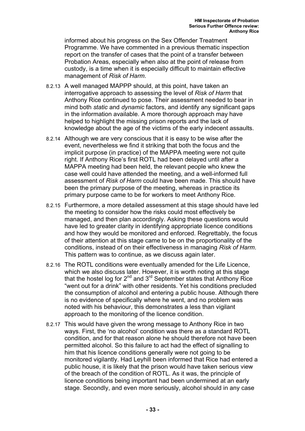informed about his progress on the Sex Offender Treatment Programme. We have commented in a previous thematic inspection report on the transfer of cases that the point of a transfer between Probation Areas, especially when also at the point of release from custody, is a time when it is especially difficult to maintain effective management of *Risk of Harm*.

- 8.2.13 A well managed MAPPP should, at this point, have taken an interrogative approach to assessing the level of *Risk of Harm* that Anthony Rice continued to pose. Their assessment needed to bear in mind both *static* and *dynamic* factors, and identify any significant gaps in the information available. A more thorough approach may have helped to highlight the missing prison reports and the lack of knowledge about the age of the victims of the early indecent assaults.
- 8.2.14 Although we are very conscious that it is easy to be wise after the event, nevertheless we find it striking that both the focus and the implicit purpose (in practice) of the MAPPA meeting were not quite right. If Anthony Rice's first ROTL had been delayed until after a MAPPA meeting had been held, the relevant people who knew the case well could have attended the meeting, and a well-informed full assessment of *Risk of Harm* could have been made. This should have been the primary purpose of the meeting, whereas in practice its primary purpose came to be for workers to meet Anthony Rice.
- 8.2.15 Furthermore, a more detailed assessment at this stage should have led the meeting to consider how the risks could most effectively be managed, and then plan accordingly. Asking these questions would have led to greater clarity in identifying appropriate licence conditions and how they would be monitored and enforced. Regrettably, the focus of their attention at this stage came to be on the proportionality of the conditions, instead of on their effectiveness in managing *Risk of Harm*. This pattern was to continue, as we discuss again later.
- 8.2.16 The ROTL conditions were eventually amended for the Life Licence, which we also discuss later. However, it is worth noting at this stage that the hostel log for 2<sup>nd</sup> and 3<sup>rd</sup> September states that Anthony Rice "went out for a drink" with other residents. Yet his conditions precluded the consumption of alcohol and entering a public house. Although there is no evidence of specifically where he went, and no problem was noted with his behaviour, this demonstrates a less than vigilant approach to the monitoring of the licence condition.
- 8.2.17 This would have given the wrong message to Anthony Rice in two ways. First, the 'no alcohol' condition was there as a standard ROTL condition, and for that reason alone he should therefore not have been permitted alcohol. So this failure to act had the effect of signalling to him that his licence conditions generally were not going to be monitored vigilantly. Had Leyhill been informed that Rice had entered a public house, it is likely that the prison would have taken serious view of the breach of the condition of ROTL. As it was, the principle of licence conditions being important had been undermined at an early stage. Secondly, and even more seriously, alcohol should in any case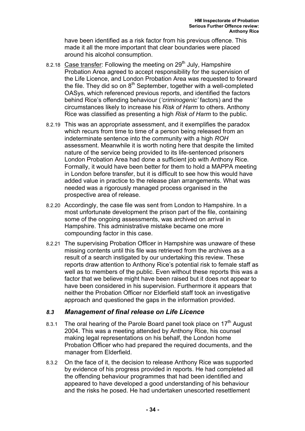have been identified as a risk factor from his previous offence. This made it all the more important that clear boundaries were placed around his alcohol consumption.

- 8.2.18 Case transfer: Following the meeting on  $29<sup>th</sup>$  July, Hampshire Probation Area agreed to accept responsibility for the supervision of the Life Licence, and London Probation Area was requested to forward the file. They did so on  $8<sup>th</sup>$  September, together with a well-completed OASys, which referenced previous reports, and identified the factors behind Rice's offending behaviour (*'criminogenic'* factors) and the circumstances likely to increase his *Risk of Harm* to others. Anthony Rice was classified as presenting a high *Risk of Harm* to the public.
- 8.2.19 This was an appropriate assessment, and it exemplifies the paradox which recurs from time to time of a person being released from an indeterminate sentence into the community with a high *ROH* assessment. Meanwhile it is worth noting here that despite the limited nature of the service being provided to its life-sentenced prisoners London Probation Area had done a sufficient job with Anthony Rice. Formally, it would have been better for them to hold a MAPPA meeting in London before transfer, but it is difficult to see how this would have added value in practice to the release plan arrangements. What was needed was a rigorously managed process organised in the prospective area of release.
- 8.2.20 Accordingly, the case file was sent from London to Hampshire. In a most unfortunate development the prison part of the file, containing some of the ongoing assessments, was archived on arrival in Hampshire. This administrative mistake became one more compounding factor in this case.
- 8.2.21 The supervising Probation Officer in Hampshire was unaware of these missing contents until this file was retrieved from the archives as a result of a search instigated by our undertaking this review. These reports draw attention to Anthony Rice's potential risk to female staff as well as to members of the public. Even without these reports this was a factor that we believe might have been raised but it does not appear to have been considered in his supervision. Furthermore it appears that neither the Probation Officer nor Elderfield staff took an investigative approach and questioned the gaps in the information provided.

#### *8.3 Management of final release on Life Licence*

- 8.3.1 The oral hearing of the Parole Board panel took place on  $17<sup>th</sup>$  August 2004. This was a meeting attended by Anthony Rice, his counsel making legal representations on his behalf, the London home Probation Officer who had prepared the required documents, and the manager from Elderfield.
- 8.3.2 On the face of it, the decision to release Anthony Rice was supported by evidence of his progress provided in reports. He had completed all the offending behaviour programmes that had been identified and appeared to have developed a good understanding of his behaviour and the risks he posed. He had undertaken unescorted resettlement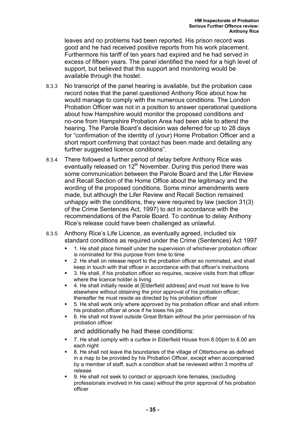leaves and no problems had been reported. His prison record was good and he had received positive reports from his work placement. Furthermore his tariff of ten years had expired and he had served in excess of fifteen years. The panel identified the need for a high level of support, but believed that this support and monitoring would be available through the hostel.

- 8.3.3 No transcript of the panel hearing is available, but the probation case record notes that the panel questioned Anthony Rice about how he would manage to comply with the numerous conditions. The London Probation Officer was not in a position to answer operational questions about how Hampshire would monitor the proposed conditions and no-one from Hampshire Probation Area had been able to attend the hearing. The Parole Board's decision was deferred for up to 28 days for "confirmation of the identity of (your) Home Probation Officer and a short report confirming that contact has been made and detailing any further suggested licence conditions".
- 8.3.4 There followed a further period of delay before Anthony Rice was eventually released on 12<sup>th</sup> November. During this period there was some communication between the Parole Board and the Lifer Review and Recall Section of the Home Office about the legitimacy and the wording of the proposed conditions. Some minor amendments were made, but although the Lifer Review and Recall Section remained unhappy with the conditions, they were required by law (section 31(3) of the Crime Sentences Act, 1997) to act in accordance with the recommendations of the Parole Board. To continue to delay Anthony Rice's release could have been challenged as unlawful.
- 8.3.5 Anthony Rice's Life Licence, as eventually agreed, included six standard conditions as required under the Crime (Sentences) Act 1997
	- 1. He shall place himself under the supervision of whichever probation officer is nominated for this purpose from time to time
	- 2. He shall on release report to the probation officer so nominated, and shall keep in touch with that officer in accordance with that officer's instructions
	- 3. He shall, if his probation officer so requires, receive visits from that officer where the licence holder is living
	- 4. He shall initially reside at [Elderfield address] and must not leave to live elsewhere without obtaining the prior approval of his probation officer; thereafter he must reside as directed by his probation officer
	- 5. He shall work only where approved by his probation officer and shall inform his probation officer at once if he loses his job
	- 6. He shall not travel outside Great Britain without the prior permission of his probation officer

and additionally he had these conditions:

- 7. He shall comply with a curfew in Elderfield House from 8.00pm to 8.00 am each night
- 8. He shall not leave the boundaries of the village of Otterbourne as defined in a map to be provided by his Probation Officer, except when accompanied by a member of staff, such a condition shall be reviewed within 3 months of release
- 9. He shall not seek to contact or approach lone females, (excluding professionals involved in his case) without the prior approval of his probation officer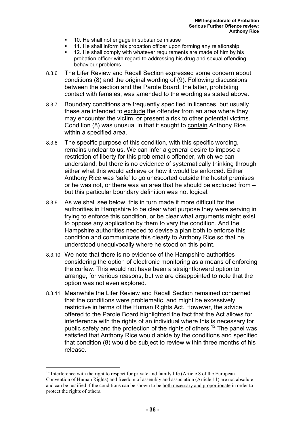- 10. He shall not engage in substance misuse
- 11. He shall inform his probation officer upon forming any relationship
- 12. He shall comply with whatever requirements are made of him by his probation officer with regard to addressing his drug and sexual offending behaviour problems
- 8.3.6 The Lifer Review and Recall Section expressed some concern about conditions (8) and the original wording of (9). Following discussions between the section and the Parole Board, the latter, prohibiting contact with females, was amended to the wording as stated above.
- 8.3.7 Boundary conditions are frequently specified in licences, but usually these are intended to exclude the offender from an area where they may encounter the victim, or present a risk to other potential victims. Condition (8) was unusual in that it sought to contain Anthony Rice within a specified area.
- 8.3.8 The specific purpose of this condition, with this specific wording, remains unclear to us. We can infer a general desire to impose a restriction of liberty for this problematic offender, which we can understand, but there is no evidence of systematically thinking through either what this would achieve or how it would be enforced. Either Anthony Rice was 'safe' to go unescorted outside the hostel premises or he was not, or there was an area that he should be excluded from – but this particular boundary definition was not logical.
- 8.3.9 As we shall see below, this in turn made it more difficult for the authorities in Hampshire to be clear what purpose they were serving in trying to enforce this condition, or be clear what arguments might exist to oppose any application by them to vary the condition. And the Hampshire authorities needed to devise a plan both to enforce this condition and communicate this clearly to Anthony Rice so that he understood unequivocally where he stood on this point.
- 8.3.10 We note that there is no evidence of the Hampshire authorities considering the option of electronic monitoring as a means of enforcing the curfew. This would not have been a straightforward option to arrange, for various reasons, but we are disappointed to note that the option was not even explored.
- 8.3.11 Meanwhile the Lifer Review and Recall Section remained concerned that the conditions were problematic, and might be excessively restrictive in terms of the Human Rights Act. However, the advice offered to the Parole Board highlighted the fact that the Act allows for interference with the rights of an individual where this is necessary for public safety and the protection of the rights of others.<sup>12</sup> The panel was satisfied that Anthony Rice would abide by the conditions and specified that condition (8) would be subject to review within three months of his release.

 $\overline{a}$ <sup>12</sup> Interference with the right to respect for private and family life (Article 8 of the European Convention of Human Rights) and freedom of assembly and association (Article 11) are not absolute and can be justified if the conditions can be shown to be both necessary and proportionate in order to protect the rights of others.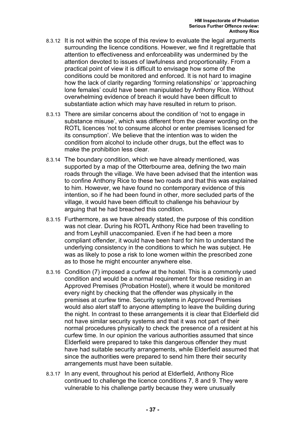- 8.3.12 It is not within the scope of this review to evaluate the legal arguments surrounding the licence conditions. However, we find it regrettable that attention to effectiveness and enforceability was undermined by the attention devoted to issues of lawfulness and proportionality. From a practical point of view it is difficult to envisage how some of the conditions could be monitored and enforced. It is not hard to imagine how the lack of clarity regarding 'forming relationships' or 'approaching lone females' could have been manipulated by Anthony Rice. Without overwhelming evidence of breach it would have been difficult to substantiate action which may have resulted in return to prison.
- 8.3.13 There are similar concerns about the condition of 'not to engage in substance misuse', which was different from the clearer wording on the ROTL licences 'not to consume alcohol or enter premises licensed for its consumption'. We believe that the intention was to widen the condition from alcohol to include other drugs, but the effect was to make the prohibition less clear.
- 8.3.14 The boundary condition, which we have already mentioned, was supported by a map of the Otterbourne area, defining the two main roads through the village. We have been advised that the intention was to confine Anthony Rice to these two roads and that this was explained to him. However, we have found no contemporary evidence of this intention, so if he had been found in other, more secluded parts of the village, it would have been difficult to challenge his behaviour by arguing that he had breached this condition.
- 8.3.15 Furthermore, as we have already stated, the purpose of this condition was not clear. During his ROTL Anthony Rice had been travelling to and from Leyhill unaccompanied. Even if he had been a more compliant offender, it would have been hard for him to understand the underlying consistency in the conditions to which he was subject. He was as likely to pose a risk to lone women within the prescribed zone as to those he might encounter anywhere else.
- 8.3.16 Condition (7) imposed a curfew at the hostel. This is a commonly used condition and would be a normal requirement for those residing in an Approved Premises (Probation Hostel), where it would be monitored every night by checking that the offender was physically in the premises at curfew time. Security systems in Approved Premises would also alert staff to anyone attempting to leave the building during the night. In contrast to these arrangements it is clear that Elderfield did not have similar security systems and that it was not part of their normal procedures physically to check the presence of a resident at his curfew time. In our opinion the various authorities assumed that since Elderfield were prepared to take this dangerous offender they must have had suitable security arrangements, while Elderfield assumed that since the authorities were prepared to send him there their security arrangements must have been suitable.
- 8.3.17 In any event, throughout his period at Elderfield, Anthony Rice continued to challenge the licence conditions 7, 8 and 9. They were vulnerable to his challenge partly because they were unusually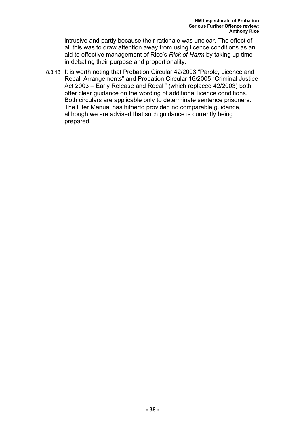intrusive and partly because their rationale was unclear. The effect of all this was to draw attention away from using licence conditions as an aid to effective management of Rice's *Risk of Harm* by taking up time in debating their purpose and proportionality.

8.3.18 It is worth noting that Probation Circular 42/2003 "Parole, Licence and Recall Arrangements" and Probation Circular 16/2005 "Criminal Justice Act 2003 – Early Release and Recall" (which replaced 42/2003) both offer clear guidance on the wording of additional licence conditions. Both circulars are applicable only to determinate sentence prisoners. The Lifer Manual has hitherto provided no comparable guidance, although we are advised that such guidance is currently being prepared.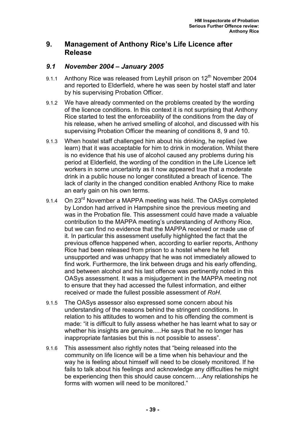## **9. Management of Anthony Rice's Life Licence after Release**

### *9.1 November 2004 – January 2005*

- 9.1.1 Anthony Rice was released from Leyhill prison on  $12<sup>th</sup>$  November 2004 and reported to Elderfield, where he was seen by hostel staff and later by his supervising Probation Officer.
- 9.1.2 We have already commented on the problems created by the wording of the licence conditions. In this context it is not surprising that Anthony Rice started to test the enforceability of the conditions from the day of his release, when he arrived smelling of alcohol, and discussed with his supervising Probation Officer the meaning of conditions 8, 9 and 10.
- 9.1.3 When hostel staff challenged him about his drinking, he replied (we learn) that it was acceptable for him to drink in moderation. Whilst there is no evidence that his use of alcohol caused any problems during his period at Elderfield, the wording of the condition in the Life Licence left workers in some uncertainty as it now appeared true that a moderate drink in a public house no longer constituted a breach of licence. The lack of clarity in the changed condition enabled Anthony Rice to make an early gain on his own terms.
- 9.1.4 On 23<sup>rd</sup> November a MAPPA meeting was held. The OASys completed by London had arrived in Hampshire since the previous meeting and was in the Probation file. This assessment could have made a valuable contribution to the MAPPA meeting's understanding of Anthony Rice, but we can find no evidence that the MAPPA received or made use of it. In particular this assessment usefully highlighted the fact that the previous offence happened when, according to earlier reports, Anthony Rice had been released from prison to a hostel where he felt unsupported and was unhappy that he was not immediately allowed to find work. Furthermore, the link between drugs and his early offending, and between alcohol and his last offence was pertinently noted in this OASys assessment. It was a misjudgement in the MAPPA meeting not to ensure that they had accessed the fullest information, and either received or made the fullest possible assessment of *RoH*.
- 9.1.5 The OASys assessor also expressed some concern about his understanding of the reasons behind the stringent conditions. In relation to his attitudes to women and to his offending the comment is made: "it is difficult to fully assess whether he has learnt what to say or whether his insights are genuine.....He says that he no longer has inappropriate fantasies but this is not possible to assess".
- 9.1.6 This assessment also rightly notes that "being released into the community on life licence will be a time when his behaviour and the way he is feeling about himself will need to be closely monitored. If he fails to talk about his feelings and acknowledge any difficulties he might be experiencing then this should cause concern….Any relationships he forms with women will need to be monitored."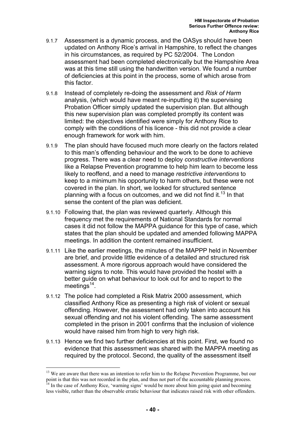- 9.1.7 Assessment is a dynamic process, and the OASys should have been updated on Anthony Rice's arrival in Hampshire, to reflect the changes in his circumstances, as required by PC 52/2004. The London assessment had been completed electronically but the Hampshire Area was at this time still using the handwritten version. We found a number of deficiencies at this point in the process, some of which arose from this factor.
- 9.1.8 Instead of completely re-doing the assessment and *Risk of Harm* analysis, (which would have meant re-inputting it) the supervising Probation Officer simply updated the supervision plan. But although this new supervision plan was completed promptly its content was limited: the objectives identified were simply for Anthony Rice to comply with the conditions of his licence - this did not provide a clear enough framework for work with him.
- 9.1.9 The plan should have focused much more clearly on the factors related to this man's offending behaviour and the work to be done to achieve progress. There was a clear need to deploy *constructive interventions* like a Relapse Prevention programme to help him learn to become less likely to reoffend, and a need to manage *restrictive interventions* to keep to a minimum his opportunity to harm others, but these were not covered in the plan. In short, we looked for structured sentence planning with a focus on outcomes, and we did not find it.<sup>13</sup> In that sense the content of the plan was deficient.
- 9.1.10 Following that, the plan was reviewed quarterly. Although this frequency met the requirements of National Standards for normal cases it did not follow the MAPPA guidance for this type of case, which states that the plan should be updated and amended following MAPPA meetings. In addition the content remained insufficient.
- 9.1.11 Like the earlier meetings, the minutes of the MAPPP held in November are brief, and provide little evidence of a detailed and structured risk assessment. A more rigorous approach would have considered the warning signs to note. This would have provided the hostel with a better guide on what behaviour to look out for and to report to the meetings $14$ .
- 9.1.12 The police had completed a Risk Matrix 2000 assessment, which classified Anthony Rice as presenting a high risk of violent or sexual offending. However, the assessment had only taken into account his sexual offending and not his violent offending. The same assessment completed in the prison in 2001 confirms that the inclusion of violence would have raised him from high to very high risk.
- 9.1.13 Hence we find two further deficiencies at this point. First, we found no evidence that this assessment was shared with the MAPPA meeting as required by the protocol. Second, the quality of the assessment itself

<sup>&</sup>lt;sup>13</sup> We are aware that there was an intention to refer him to the Relapse Prevention Programme, but our point is that this was not recorded in the plan, and thus not part of the accountable planning process.  $14$  In the case of Anthony Rice, 'warning signs' would be more about him going quiet and becoming

less visible, rather than the observable erratic behaviour that indicates raised risk with other offenders.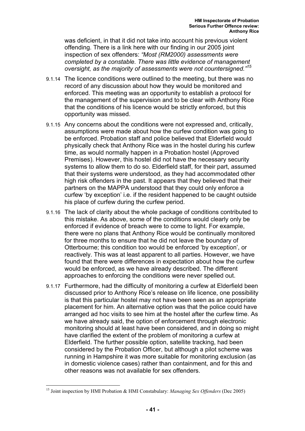was deficient, in that it did not take into account his previous violent offending. There is a link here with our finding in our 2005 joint inspection of sex offenders: *"Most (RM2000) assessments were completed by a constable. There was little evidence of management oversight, as the majority of assessments were not countersigned."<sup>15</sup>*

- 9.1.14 The licence conditions were outlined to the meeting, but there was no record of any discussion about how they would be monitored and enforced. This meeting was an opportunity to establish a protocol for the management of the supervision and to be clear with Anthony Rice that the conditions of his licence would be strictly enforced, but this opportunity was missed.
- 9.1.15 Any concerns about the conditions were not expressed and, critically, assumptions were made about how the curfew condition was going to be enforced. Probation staff and police believed that Elderfield would physically check that Anthony Rice was in the hostel during his curfew time, as would normally happen in a Probation hostel (Approved Premises). However, this hostel did not have the necessary security systems to allow them to do so. Elderfield staff, for their part, assumed that their systems were understood, as they had accommodated other high risk offenders in the past. It appears that they believed that their partners on the MAPPA understood that they could only enforce a curfew 'by exception' i.e. if the resident happened to be caught outside his place of curfew during the curfew period.
- 9.1.16 The lack of clarity about the whole package of conditions contributed to this mistake. As above, some of the conditions would clearly only be enforced if evidence of breach were to come to light. For example, there were no plans that Anthony Rice would be continually monitored for three months to ensure that he did not leave the boundary of Otterbourne; this condition too would be enforced 'by exception', or reactively. This was at least apparent to all parties. However, we have found that there were differences in expectation about how the curfew would be enforced, as we have already described. The different approaches to enforcing the conditions were never spelled out.
- 9.1.17 Furthermore, had the difficulty of monitoring a curfew at Elderfield been discussed prior to Anthony Rice's release on life licence, one possibility is that this particular hostel may not have been seen as an appropriate placement for him. An alternative option was that the police could have arranged ad hoc visits to see him at the hostel after the curfew time. As we have already said, the option of enforcement through electronic monitoring should at least have been considered, and in doing so might have clarified the extent of the problem of monitoring a curfew at Elderfield. The further possible option, satellite tracking, had been considered by the Probation Officer, but although a pilot scheme was running in Hampshire it was more suitable for monitoring exclusion (as in domestic violence cases) rather than containment, and for this and other reasons was not available for sex offenders.

<sup>15</sup> Joint inspection by HMI Probation & HMI Constabulary: *Managing Sex Offenders* (Dec 2005)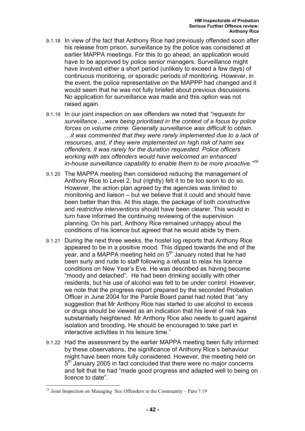- 9.1.18 In view of the fact that Anthony Rice had previously offended soon after his release from prison, surveillance by the police was considered at earlier MAPPA meetings. For this to go ahead, an application would have to be approved by police senior managers. Surveillance might have involved either a short period (unlikely to exceed a few days) of continuous monitoring, or sporadic periods of monitoring. However, in the event, the police representative on the MAPPP had changed and it would seem that he was not fully briefed about previous discussions. No application for surveillance was made and this option was not raised again.
- 9.1.19 In our joint inspection on sex offenders we noted that *"requests for surveillance….were being prioritised in the context of a focus by police forces on volume crime. Generally surveillance was difficult to obtain. …it was commented that they were rarely implemented due to a lack of resources, and, if they were implemented on high risk of harm sex offenders, it was rarely for the duration requested. Police officers working with sex offenders would have welcomed an enhanced in-house surveillance capability to enable them to be more proactive."<sup>16</sup>*
- 9.1.20 The MAPPA meeting then considered reducing the management of Anthony Rice to Level 2, but (rightly) felt it to be too soon to do so. However, the action plan agreed by the agencies was limited to monitoring and liaison – but we believe that it could and should have been better than this. At this stage, the package of both *constructive* and *restrictive interventions* should have been clearer. This would in turn have informed the continuing reviewing of the supervision planning. On his part, Anthony Rice remained unhappy about the conditions of his licence but agreed that he would abide by them.
- 9.1.21 During the next three weeks, the hostel log reports that Anthony Rice appeared to be in a positive mood. This dipped towards the end of the year, and a MAPPA meeting held on 5<sup>th</sup> January noted that he had been surly and rude to staff following a refusal to relax his licence conditions on New Year's Eve. He was described as having become "moody and detached". He had been drinking socially with other residents, but his use of alcohol was felt to be under control. However, we note that the progress report prepared by the seconded Probation Officer in June 2004 for the Parole Board panel had noted that "any suggestion that Mr Anthony Rice has started to use alcohol to excess or drugs should be viewed as an indication that his level of risk has substantially heightened. Mr Anthony Rice also needs to guard against isolation and brooding. He should be encouraged to take part in interactive activities in his leisure time."
- 9.1.22 Had the assessment by the earlier MAPPA meeting been fully informed by these observations, the significance of Anthony Rice's behaviour might have been more fully considered. However, the meeting held on 5<sup>th</sup> January 2005 in fact concluded that there were no major concerns and felt that he had "made good progress and adapted well to being on licence to date".

<sup>&</sup>lt;sup>16</sup> Joint Inspection on Managing Sex Offenders in the Community – Para 7.19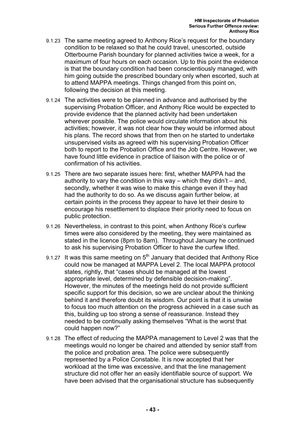- 9.1.23 The same meeting agreed to Anthony Rice's request for the boundary condition to be relaxed so that he could travel, unescorted, outside Otterbourne Parish boundary for planned activities twice a week, for a maximum of four hours on each occasion. Up to this point the evidence is that the boundary condition had been conscientiously managed, with him going outside the prescribed boundary only when escorted, such at to attend MAPPA meetings. Things changed from this point on, following the decision at this meeting.
- 9.1.24 The activities were to be planned in advance and authorised by the supervising Probation Officer, and Anthony Rice would be expected to provide evidence that the planned activity had been undertaken wherever possible. The police would circulate information about his activities; however, it was not clear how they would be informed about his plans. The record shows that from then on he started to undertake unsupervised visits as agreed with his supervising Probation Officer both to report to the Probation Office and the Job Centre. However, we have found little evidence in practice of liaison with the police or of confirmation of his activities.
- 9.1.25 There are two separate issues here: first, whether MAPPA had the authority to vary the condition in this way – which they didn't – and, secondly, whether it was wise to make this change even if they had had the authority to do so. As we discuss again further below, at certain points in the process they appear to have let their desire to encourage his resettlement to displace their priority need to focus on public protection.
- 9.1.26 Nevertheless, in contrast to this point, when Anthony Rice's curfew times were also considered by the meeting, they were maintained as stated in the licence (8pm to 8am). Throughout January he continued to ask his supervising Probation Officer to have the curfew lifted.
- 9.1.27 It was this same meeting on  $5<sup>th</sup>$  January that decided that Anthony Rice could now be managed at MAPPA Level 2. The local MAPPA protocol states, rightly, that "cases should be managed at the lowest appropriate level, determined by defensible decision-making". However, the minutes of the meetings held do not provide sufficient specific support for this decision, so we are unclear about the thinking behind it and therefore doubt its wisdom. Our point is that it is unwise to focus too much attention on the progress achieved in a case such as this, building up too strong a sense of reassurance. Instead they needed to be continually asking themselves "What is the worst that could happen now?"
- 9.1.28 The effect of reducing the MAPPA management to Level 2 was that the meetings would no longer be chaired and attended by senior staff from the police and probation area. The police were subsequently represented by a Police Constable. It is now accepted that her workload at the time was excessive, and that the line management structure did not offer her an easily identifiable source of support. We have been advised that the organisational structure has subsequently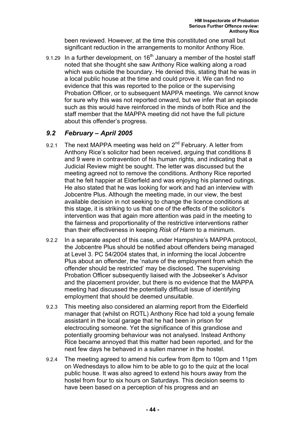been reviewed. However, at the time this constituted one small but significant reduction in the arrangements to monitor Anthony Rice.

9.1.29 In a further development, on  $16<sup>th</sup>$  January a member of the hostel staff noted that she thought she saw Anthony Rice walking along a road which was outside the boundary. He denied this, stating that he was in a local public house at the time and could prove it. We can find no evidence that this was reported to the police or the supervising Probation Officer, or to subsequent MAPPA meetings. We cannot know for sure why this was not reported onward, but we infer that an episode such as this would have reinforced in the minds of both Rice and the staff member that the MAPPA meeting did not have the full picture about this offender's progress.

## *9.2 February – April 2005*

- 9.2.1 The next MAPPA meeting was held on  $2^{nd}$  February. A letter from Anthony Rice's solicitor had been received, arguing that conditions 8 and 9 were in contravention of his human rights, and indicating that a Judicial Review might be sought. The letter was discussed but the meeting agreed not to remove the conditions. Anthony Rice reported that he felt happier at Elderfield and was enjoying his planned outings. He also stated that he was looking for work and had an interview with Jobcentre Plus. Although the meeting made, in our view, the best available decision in not seeking to change the licence conditions at this stage, it is striking to us that one of the effects of the solicitor's intervention was that again more attention was paid in the meeting to the fairness and proportionality of the restrictive interventions rather than their effectiveness in keeping *Risk of Harm* to a minimum.
- 9.2.2 In a separate aspect of this case, under Hampshire's MAPPA protocol, the Jobcentre Plus should be notified about offenders being managed at Level 3. PC 54/2004 states that, in informing the local Jobcentre Plus about an offender, the 'nature of the employment from which the offender should be restricted' may be disclosed. The supervising Probation Officer subsequently liaised with the Jobseeker's Advisor and the placement provider, but there is no evidence that the MAPPA meeting had discussed the potentially difficult issue of identifying employment that should be deemed unsuitable.
- 9.2.3 This meeting also considered an alarming report from the Elderfield manager that (whilst on ROTL) Anthony Rice had told a young female assistant in the local garage that he had been in prison for electrocuting someone. Yet the significance of this grandiose and potentially grooming behaviour was not analysed. Instead Anthony Rice became annoyed that this matter had been reported, and for the next few days he behaved in a sullen manner in the hostel.
- 9.2.4 The meeting agreed to amend his curfew from 8pm to 10pm and 11pm on Wednesdays to allow him to be able to go to the quiz at the local public house. It was also agreed to extend his hours away from the hostel from four to six hours on Saturdays. This decision seems to have been based on a perception of his progress and an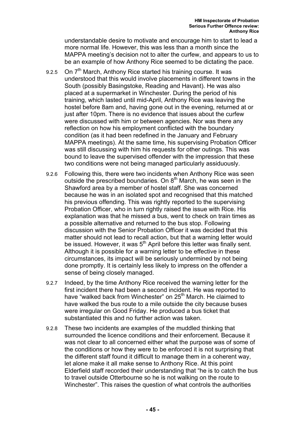understandable desire to motivate and encourage him to start to lead a more normal life. However, this was less than a month since the MAPPA meeting's decision not to alter the curfew, and appears to us to be an example of how Anthony Rice seemed to be dictating the pace.

- 9.2.5 On 7<sup>th</sup> March, Anthony Rice started his training course. It was understood that this would involve placements in different towns in the South (possibly Basingstoke, Reading and Havant). He was also placed at a supermarket in Winchester. During the period of his training, which lasted until mid-April, Anthony Rice was leaving the hostel before 8am and, having gone out in the evening, returned at or just after 10pm. There is no evidence that issues about the curfew were discussed with him or between agencies. Nor was there any reflection on how his employment conflicted with the boundary condition (as it had been redefined in the January and February MAPPA meetings). At the same time, his supervising Probation Officer was still discussing with him his requests for other outings. This was bound to leave the supervised offender with the impression that these two conditions were not being managed particularly assiduously.
- 9.2.6 Following this, there were two incidents when Anthony Rice was seen outside the prescribed boundaries. On  $8<sup>th</sup>$  March, he was seen in the Shawford area by a member of hostel staff. She was concerned because he was in an isolated spot and recognised that this matched his previous offending. This was rightly reported to the supervising Probation Officer, who in turn rightly raised the issue with Rice. His explanation was that he missed a bus, went to check on train times as a possible alternative and returned to the bus stop. Following discussion with the Senior Probation Officer it was decided that this matter should not lead to recall action, but that a warning letter would be issued. However, it was 5<sup>th</sup> April before this letter was finally sent. Although it is possible for a warning letter to be effective in these circumstances, its impact will be seriously undermined by not being done promptly. It is certainly less likely to impress on the offender a sense of being closely managed.
- 9.2.7 Indeed, by the time Anthony Rice received the warning letter for the first incident there had been a second incident. He was reported to have "walked back from Winchester" on 25<sup>th</sup> March. He claimed to have walked the bus route to a mile outside the city because buses were irregular on Good Friday. He produced a bus ticket that substantiated this and no further action was taken.
- 9.2.8 These two incidents are examples of the muddled thinking that surrounded the licence conditions and their enforcement. Because it was not clear to all concerned either what the purpose was of some of the conditions or how they were to be enforced it is not surprising that the different staff found it difficult to manage them in a coherent way, let alone make it all make sense to Anthony Rice. At this point Elderfield staff recorded their understanding that "he is to catch the bus to travel outside Otterbourne so he is not walking on the route to Winchester". This raises the question of what controls the authorities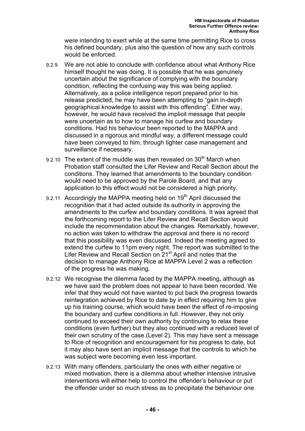were intending to exert while at the same time permitting Rice to cross his defined boundary, plus also the question of how any such controls would be enforced.

- 9.2.9 We are not able to conclude with confidence about what Anthony Rice himself thought he was doing. It is possible that he was genuinely uncertain about the significance of complying with the boundary condition, reflecting the confusing way this was being applied. Alternatively, as a police intelligence report prepared prior to his release predicted, he may have been attempting to "gain in-depth geographical knowledge to assist with this offending". Either way, however, he would have received the implicit message that people were uncertain as to how to manage his curfew and boundary conditions. Had his behaviour been reported to the MAPPA and discussed in a rigorous and mindful way, a different message could have been conveyed to him, through tighter case management and surveillance if necessary.
- 9.2.10 The extent of the muddle was then revealed on  $30<sup>th</sup>$  March when Probation staff consulted the Lifer Review and Recall Section about the conditions. They learned that amendments to the boundary condition would need to be approved by the Parole Board, and that any application to this effect would not be considered a high priority.
- 9.2.11 Accordingly the MAPPA meeting held on  $19<sup>th</sup>$  April discussed the recognition that it had acted outside its authority in approving the amendments to the curfew and boundary conditions. It was agreed that the forthcoming report to the Lifer Review and Recall Section would include the recommendation about the changes. Remarkably, however, no action was taken to withdraw the approval and there is no record that this possibility was even discussed. Indeed the meeting agreed to extend the curfew to 11pm every night. The report was submitted to the Lifer Review and Recall Section on 21<sup>st</sup> April and notes that the decision to manage Anthony Rice at MAPPA Level 2 was a reflection of the progress he was making.
- 9.2.12 We recognise the dilemma faced by the MAPPA meeting, although as we have said the problem does not appear to have been recorded. We infer that they would not have wanted to put back the progress towards reintegration achieved by Rice to date by in effect requiring him to give up his training course, which would have been the effect of re-imposing the boundary and curfew conditions in full. However, they not only continued to exceed their own authority by continuing to relax these conditions (even further) but they also continued with a reduced level of their own scrutiny of the case (Level 2). This may have sent a message to Rice of recognition and encouragement for his progress to date, but it may also have sent an implicit message that the controls to which he was subject were becoming even less important.
- 9.2.13 With many offenders, particularly the ones with either negative or mixed motivation, there is a dilemma about whether intensive intrusive interventions will either help to control the offender's behaviour or put the offender under so much stress as to precipitate the behaviour one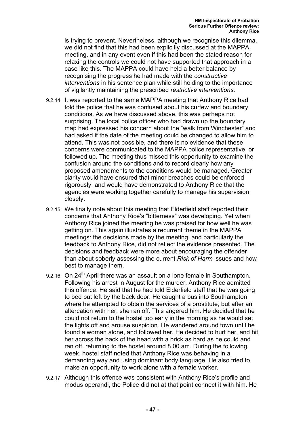is trying to prevent. Nevertheless, although we recognise this dilemma, we did not find that this had been explicitly discussed at the MAPPA meeting, and in any event even if this had been the stated reason for relaxing the controls we could not have supported that approach in a case like this. The MAPPA could have held a better balance by recognising the progress he had made with the *constructive interventions* in his sentence plan while still holding to the importance of vigilantly maintaining the prescribed *restrictive interventions*.

- 9.2.14 It was reported to the same MAPPA meeting that Anthony Rice had told the police that he was confused about his curfew and boundary conditions. As we have discussed above, this was perhaps not surprising. The local police officer who had drawn up the boundary map had expressed his concern about the "walk from Winchester" and had asked if the date of the meeting could be changed to allow him to attend. This was not possible, and there is no evidence that these concerns were communicated to the MAPPA police representative, or followed up. The meeting thus missed this opportunity to examine the confusion around the conditions and to record clearly how any proposed amendments to the conditions would be managed. Greater clarity would have ensured that minor breaches could be enforced rigorously, and would have demonstrated to Anthony Rice that the agencies were working together carefully to manage his supervision closely.
- 9.2.15 We finally note about this meeting that Elderfield staff reported their concerns that Anthony Rice's "bitterness" was developing. Yet when Anthony Rice joined the meeting he was praised for how well he was getting on. This again illustrates a recurrent theme in the MAPPA meetings: the decisions made by the meeting, and particularly the feedback to Anthony Rice, did not reflect the evidence presented. The decisions and feedback were more about encouraging the offender than about soberly assessing the current *Risk of Harm* issues and how best to manage them.
- 9.2.16 On 24<sup>th</sup> April there was an assault on a lone female in Southampton. Following his arrest in August for the murder, Anthony Rice admitted this offence. He said that he had told Elderfield staff that he was going to bed but left by the back door. He caught a bus into Southampton where he attempted to obtain the services of a prostitute, but after an altercation with her, she ran off. This angered him. He decided that he could not return to the hostel too early in the morning as he would set the lights off and arouse suspicion. He wandered around town until he found a woman alone, and followed her. He decided to hurt her, and hit her across the back of the head with a brick as hard as he could and ran off, returning to the hostel around 8.00 am. During the following week, hostel staff noted that Anthony Rice was behaving in a demanding way and using dominant body language. He also tried to make an opportunity to work alone with a female worker.
- 9.2.17 Although this offence was consistent with Anthony Rice's profile and modus operandi, the Police did not at that point connect it with him. He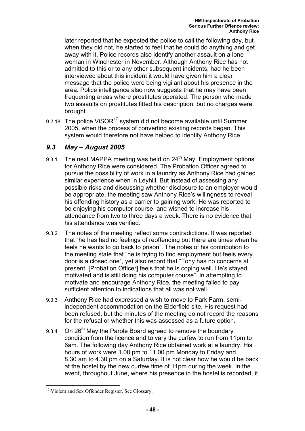later reported that he expected the police to call the following day, but when they did not, he started to feel that he could do anything and get away with it. Police records also identify another assault on a lone woman in Winchester in November. Although Anthony Rice has not admitted to this or to any other subsequent incidents, had he been interviewed about this incident it would have given him a clear message that the police were being vigilant about his presence in the area. Police intelligence also now suggests that he may have been frequenting areas where prostitutes operated. The person who made two assaults on prostitutes fitted his description, but no charges were brought.

9.2.18 The police ViSOR<sup>17</sup> system did not become available until Summer 2005, when the process of converting existing records began. This system would therefore not have helped to identify Anthony Rice.

### *9.3 May – August 2005*

- 9.3.1 The next MAPPA meeting was held on  $24<sup>th</sup>$  May. Employment options for Anthony Rice were considered. The Probation Officer agreed to pursue the possibility of work in a laundry as Anthony Rice had gained similar experience when in Leyhill. But instead of assessing any possible risks and discussing whether disclosure to an employer would be appropriate, the meeting saw Anthony Rice's willingness to reveal his offending history as a barrier to gaining work. He was reported to be enjoying his computer course, and wished to increase his attendance from two to three days a week. There is no evidence that his attendance was verified.
- 9.3.2 The notes of the meeting reflect some contradictions. It was reported that "he has had no feelings of reoffending but there are times when he feels he wants to go back to prison". The notes of his contribution to the meeting state that "he is trying to find employment but feels every door is a closed one", yet also record that "Tony has no concerns at present. [Probation Officer] feels that he is coping well. He's stayed motivated and is still doing his computer course". In attempting to motivate and encourage Anthony Rice, the meeting failed to pay sufficient attention to indications that all was not well.
- 9.3.3 Anthony Rice had expressed a wish to move to Park Farm, semiindependent accommodation on the Elderfield site. His request had been refused, but the minutes of the meeting do not record the reasons for the refusal or whether this was assessed as a future option.
- 9.3.4 On 26<sup>th</sup> May the Parole Board agreed to remove the boundary condition from the licence and to vary the curfew to run from 11pm to 6am. The following day Anthony Rice obtained work at a laundry. His hours of work were 1.00 pm to 11.00 pm Monday to Friday and 8.30 am to 4.30 pm on a Saturday. It is not clear how he would be back at the hostel by the new curfew time of 11pm during the week. In the event, throughout June, where his presence in the hostel is recorded, it

<sup>&</sup>lt;sup>17</sup> Violent and Sex Offender Register. See Glossary.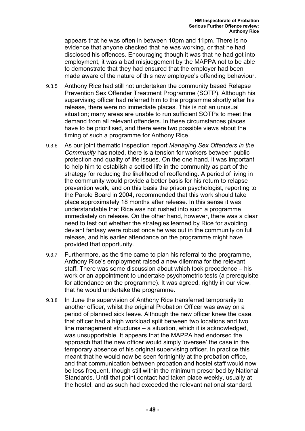appears that he was often in between 10pm and 11pm. There is no evidence that anyone checked that he was working, or that he had disclosed his offences. Encouraging though it was that he had got into employment, it was a bad misjudgement by the MAPPA not to be able to demonstrate that they had ensured that the employer had been made aware of the nature of this new employee's offending behaviour.

- 9.3.5 Anthony Rice had still not undertaken the community based Relapse Prevention Sex Offender Treatment Programme (SOTP). Although his supervising officer had referred him to the programme shortly after his release, there were no immediate places. This is not an unusual situation; many areas are unable to run sufficient SOTPs to meet the demand from all relevant offenders. In these circumstances places have to be prioritised, and there were two possible views about the timing of such a programme for Anthony Rice.
- 9.3.6 As our joint thematic inspection report *Managing Sex Offenders in the Community* has noted, there is a tension for workers between public protection and quality of life issues. On the one hand, it was important to help him to establish a settled life in the community as part of the strategy for reducing the likelihood of reoffending. A period of living in the community would provide a better basis for his return to relapse prevention work, and on this basis the prison psychologist, reporting to the Parole Board in 2004, recommended that this work should take place approximately 18 months after release. In this sense it was understandable that Rice was not rushed into such a programme immediately on release. On the other hand, however, there was a clear need to test out whether the strategies learned by Rice for avoiding deviant fantasy were robust once he was out in the community on full release, and his earlier attendance on the programme might have provided that opportunity.
- 9.3.7 Furthermore, as the time came to plan his referral to the programme, Anthony Rice's employment raised a new dilemma for the relevant staff. There was some discussion about which took precedence – his work or an appointment to undertake psychometric tests (a prerequisite for attendance on the programme). It was agreed, rightly in our view, that he would undertake the programme.
- 9.3.8 In June the supervision of Anthony Rice transferred temporarily to another officer, whilst the original Probation Officer was away on a period of planned sick leave. Although the new officer knew the case, that officer had a high workload split between two locations and two line management structures – a situation, which it is acknowledged, was unsupportable. It appears that the MAPPA had endorsed the approach that the new officer would simply 'oversee' the case in the temporary absence of his original supervising officer. In practice this meant that he would now be seen fortnightly at the probation office, and that communication between probation and hostel staff would now be less frequent, though still within the minimum prescribed by National Standards. Until that point contact had taken place weekly, usually at the hostel, and as such had exceeded the relevant national standard.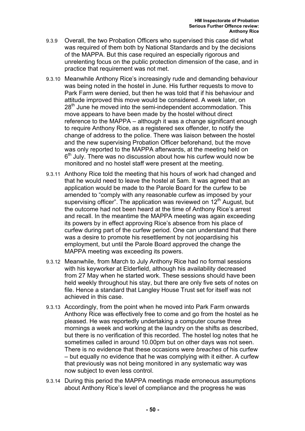- 9.3.9 Overall, the two Probation Officers who supervised this case did what was required of them both by National Standards and by the decisions of the MAPPA. But this case required an especially rigorous and unrelenting focus on the public protection dimension of the case, and in practice that requirement was not met.
- 9.3.10 Meanwhile Anthony Rice's increasingly rude and demanding behaviour was being noted in the hostel in June. His further requests to move to Park Farm were denied, but then he was told that if his behaviour and attitude improved this move would be considered. A week later, on 28<sup>th</sup> June he moved into the semi-independent accommodation. This move appears to have been made by the hostel without direct reference to the MAPPA – although it was a change significant enough to require Anthony Rice, as a registered sex offender, to notify the change of address to the police. There was liaison between the hostel and the new supervising Probation Officer beforehand, but the move was only reported to the MAPPA afterwards, at the meeting held on  $6<sup>th</sup>$  July. There was no discussion about how his curfew would now be monitored and no hostel staff were present at the meeting.
- 9.3.11 Anthony Rice told the meeting that his hours of work had changed and that he would need to leave the hostel at 5am. It was agreed that an application would be made to the Parole Board for the curfew to be amended to "comply with any reasonable curfew as imposed by your supervising officer". The application was reviewed on  $12<sup>th</sup>$  August, but the outcome had not been heard at the time of Anthony Rice's arrest and recall. In the meantime the MAPPA meeting was again exceeding its powers by in effect approving Rice's absence from his place of curfew during part of the curfew period. One can understand that there was a desire to promote his resettlement by not jeopardising his employment, but until the Parole Board approved the change the MAPPA meeting was exceeding its powers.
- 9.3.12 Meanwhile, from March to July Anthony Rice had no formal sessions with his keyworker at Elderfield, although his availability decreased from 27 May when he started work. These sessions should have been held weekly throughout his stay, but there are only five sets of notes on file. Hence a standard that Langley House Trust set for itself was not achieved in this case.
- 9.3.13 Accordingly, from the point when he moved into Park Farm onwards Anthony Rice was effectively free to come and go from the hostel as he pleased. He was reportedly undertaking a computer course three mornings a week and working at the laundry on the shifts as described, but there is no verification of this recorded. The hostel log notes that he sometimes called in around 10.00pm but on other days was not seen. There is no evidence that these occasions were *breaches* of his curfew – but equally no evidence that he was complying with it either. A curfew that previously was not being monitored in any systematic way was now subject to even less control.
- 9.3.14 During this period the MAPPA meetings made erroneous assumptions about Anthony Rice's level of compliance and the progress he was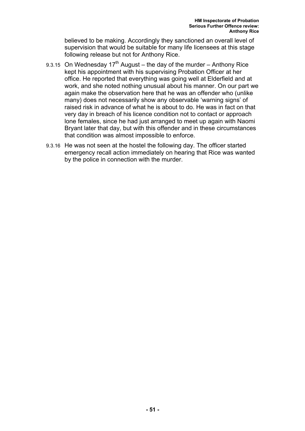believed to be making. Accordingly they sanctioned an overall level of supervision that would be suitable for many life licensees at this stage following release but not for Anthony Rice.

- 9.3.15 On Wednesday  $17<sup>th</sup>$  August the day of the murder Anthony Rice kept his appointment with his supervising Probation Officer at her office. He reported that everything was going well at Elderfield and at work, and she noted nothing unusual about his manner. On our part we again make the observation here that he was an offender who (unlike many) does not necessarily show any observable 'warning signs' of raised risk in advance of what he is about to do. He was in fact on that very day in breach of his licence condition not to contact or approach lone females, since he had just arranged to meet up again with Naomi Bryant later that day, but with this offender and in these circumstances that condition was almost impossible to enforce.
- 9.3.16 He was not seen at the hostel the following day. The officer started emergency recall action immediately on hearing that Rice was wanted by the police in connection with the murder.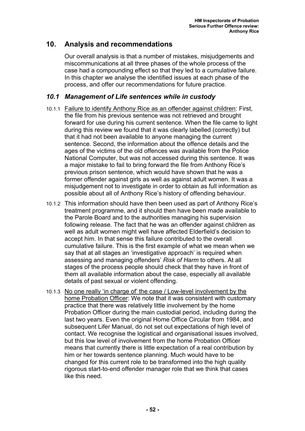# **10. Analysis and recommendations**

Our overall analysis is that a number of mistakes, misjudgements and miscommunications at all three phases of the whole process of the case had a compounding effect so that they led to a cumulative failure. In this chapter we analyse the identified issues at each phase of the process, and offer our recommendations for future practice.

## *10.1 Management of Life sentences while in custody*

- 10.1.1 Failure to identify Anthony Rice as an offender against children: First, the file from his previous sentence was not retrieved and brought forward for use during his current sentence. When the file came to light during this review we found that it was clearly labelled (correctly) but that it had not been available to anyone managing the current sentence. Second, the information about the offence details and the ages of the victims of the old offences was available from the Police National Computer, but was not accessed during this sentence. It was a major mistake to fail to bring forward the file from Anthony Rice's previous prison sentence, which would have shown that he was a former offender against girls as well as against adult women. It was a misjudgement not to investigate in order to obtain as full information as possible about all of Anthony Rice's history of offending behaviour.
- 10.1.2 This information should have then been used as part of Anthony Rice's treatment programme, and it should then have been made available to the Parole Board and to the authorities managing his supervision following release. The fact that he was an offender against children as well as adult women might well have affected Elderfield's decision to accept him. In that sense this failure contributed to the overall cumulative failure. This is the first example of what we mean when we say that at all stages an 'investigative approach' is required when assessing and managing offenders' *Risk of Harm* to others. At all stages of the process people should check that they have in front of them all available information about the case, especially all available details of past sexual or violent offending.
- 10.1.3 No one really 'in charge of' the case / Low-level involvement by the home Probation Officer: We note that it was consistent with customary practice that there was relatively little involvement by the home Probation Officer during the main custodial period, including during the last two years. Even the original Home Office Circular from 1984, and subsequent Lifer Manual, do not set out expectations of high level of contact. We recognise the logistical and organisational issues involved, but this low level of involvement from the home Probation Officer means that currently there is little expectation of a real contribution by him or her towards sentence planning. Much would have to be changed for this current role to be transformed into the high quality rigorous start-to-end offender manager role that we think that cases like this need.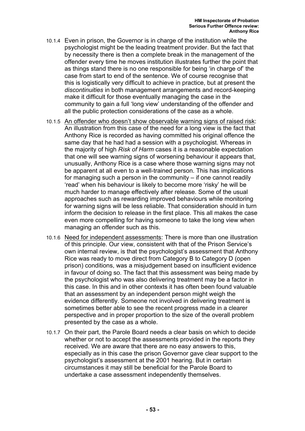- 10.1.4 Even in prison, the Governor is in charge of the institution while the psychologist might be the leading treatment provider. But the fact that by necessity there is then a complete break in the management of the offender every time he moves institution illustrates further the point that as things stand there is no one responsible for being 'in charge of' the case from start to end of the sentence. We of course recognise that this is logistically very difficult to achieve in practice, but at present the *discontinuities* in both management arrangements and record-keeping make it difficult for those eventually managing the case in the community to gain a full 'long view' understanding of the offender and all the public protection considerations of the case as a whole.
- 10.1.5 An offender who doesn't show observable warning signs of raised risk: An illustration from this case of the need for a long view is the fact that Anthony Rice is recorded as having committed his original offence the same day that he had had a session with a psychologist. Whereas in the majority of high *Risk of Harm* cases it is a reasonable expectation that one will see warning signs of worsening behaviour it appears that, unusually, Anthony Rice is a case where those warning signs may not be apparent at all even to a well-trained person. This has implications for managing such a person in the community – if one cannot readily 'read' when his behaviour is likely to become more 'risky' he will be much harder to manage effectively after release. Some of the usual approaches such as rewarding improved behaviours while monitoring for warning signs will be less reliable. That consideration should in turn inform the decision to release in the first place. This all makes the case even more compelling for having someone to take the long view when managing an offender such as this.
- 10.1.6 Need for independent assessments: There is more than one illustration of this principle. Our view, consistent with that of the Prison Service's own internal review, is that the psychologist's assessment that Anthony Rice was ready to move direct from Category B to Category D (open prison) conditions, was a misjudgement based on insufficient evidence in favour of doing so. The fact that this assessment was being made by the psychologist who was also delivering treatment may be a factor in this case. In this and in other contexts it has often been found valuable that an assessment by an independent person might weigh the evidence differently. Someone not involved in delivering treatment is sometimes better able to see the recent progress made in a clearer perspective and in proper proportion to the size of the overall problem presented by the case as a whole.
- 10.1.7 On their part, the Parole Board needs a clear basis on which to decide whether or not to accept the assessments provided in the reports they received. We are aware that there are no easy answers to this, especially as in this case the prison Governor gave clear support to the psychologist's assessment at the 2001 hearing. But in certain circumstances it may still be beneficial for the Parole Board to undertake a case assessment independently themselves.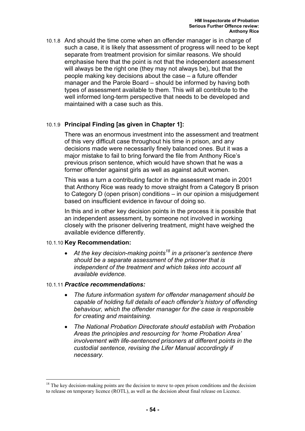10.1.8 And should the time come when an offender manager is in charge of such a case, it is likely that assessment of progress will need to be kept separate from treatment provision for similar reasons. We should emphasise here that the point is not that the independent assessment will always be the right one (they may not always be), but that the people making key decisions about the case – a future offender manager and the Parole Board – should be informed by having both types of assessment available to them. This will all contribute to the well informed long-term perspective that needs to be developed and maintained with a case such as this.

### 10.1.9 **Principal Finding [as given in Chapter 1]:**

There was an enormous investment into the assessment and treatment of this very difficult case throughout his time in prison, and any decisions made were necessarily finely balanced ones. But it was a major mistake to fail to bring forward the file from Anthony Rice's previous prison sentence, which would have shown that he was a former offender against girls as well as against adult women.

This was a turn a contributing factor in the assessment made in 2001 that Anthony Rice was ready to move straight from a Category B prison to Category D (open prison) conditions – in our opinion a misjudgement based on insufficient evidence in favour of doing so.

In this and in other key decision points in the process it is possible that an independent assessment, by someone not involved in working closely with the prisoner delivering treatment, might have weighed the available evidence differently.

### 10.1.10 **Key Recommendation:**

• *At the key decision-making points18 in a prisoner's sentence there should be a separate assessment of the prisoner that is independent of the treatment and which takes into account all available evidence.* 

### 10.1.11 *Practice recommendations:*

- *The future information system for offender management should be capable of holding full details of each offender's history of offending behaviour, which the offender manager for the case is responsible for creating and maintaining.*
- *The National Probation Directorate should establish with Probation Areas the principles and resourcing for 'home Probation Area' involvement with life-sentenced prisoners at different points in the custodial sentence, revising the Lifer Manual accordingly if necessary.*

 $18$  The key decision-making points are the decision to move to open prison conditions and the decision to release on temporary licence (ROTL), as well as the decision about final release on Licence.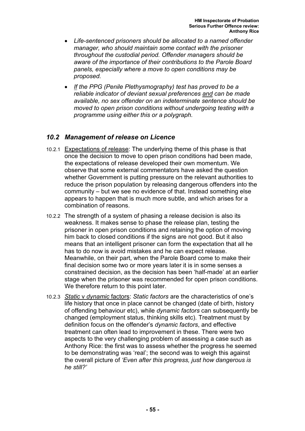- *Life-sentenced prisoners should be allocated to a named offender manager, who should maintain some contact with the prisoner throughout the custodial period. Offender managers should be aware of the importance of their contributions to the Parole Board panels, especially where a move to open conditions may be proposed.*
- *If the PPG (Penile Plethysmography) test has proved to be a reliable indicator of deviant sexual preferences and can be made available, no sex offender on an indeterminate sentence should be moved to open prison conditions without undergoing testing with a programme using either this or a polygraph.*

### *10.2 Management of release on Licence*

- 10.2.1 Expectations of release: The underlying theme of this phase is that once the decision to move to open prison conditions had been made, the expectations of release developed their own momentum. We observe that some external commentators have asked the question whether Government is putting pressure on the relevant authorities to reduce the prison population by releasing dangerous offenders into the community – but we see no evidence of that. Instead something else appears to happen that is much more subtle, and which arises for a combination of reasons.
- 10.2.2 The strength of a system of phasing a release decision is also its weakness. It makes sense to phase the release plan, testing the prisoner in open prison conditions and retaining the option of moving him back to closed conditions if the signs are not good. But it also means that an intelligent prisoner can form the expectation that all he has to do now is avoid mistakes and he can expect release. Meanwhile, on their part, when the Parole Board come to make their final decision some two or more years later it is in some senses a constrained decision, as the decision has been 'half-made' at an earlier stage when the prisoner was recommended for open prison conditions. We therefore return to this point later.
- 10.2.3 *Static* v *dynamic* factors: *Static factors* are the characteristics of one's life history that once in place cannot be changed (date of birth, history of offending behaviour etc), while *dynamic factors* can subsequently be changed (employment status, thinking skills etc). Treatment must by definition focus on the offender's *dynamic factors*, and effective treatment can often lead to improvement in these. There were two aspects to the very challenging problem of assessing a case such as Anthony Rice: the first was to assess whether the progress he seemed to be demonstrating was 'real'; the second was to weigh this against the overall picture of *'Even after this progress, just how dangerous is he still?'*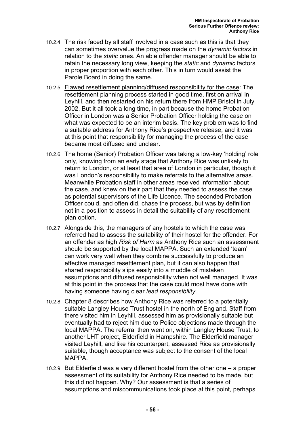- 10.2.4 The risk faced by all staff involved in a case such as this is that they can sometimes overvalue the progress made on the *dynamic factors* in relation to the *static* ones. An able offender manager should be able to retain the necessary long view, keeping the *static* and *dynamic* factors in proper proportion with each other. This in turn would assist the Parole Board in doing the same.
- 10.2.5 Flawed resettlement planning/diffused responsibility for the case: The resettlement planning process started in good time, first on arrival in Leyhill, and then restarted on his return there from HMP Bristol in July 2002. But it all took a long time, in part because the home Probation Officer in London was a Senior Probation Officer holding the case on what was expected to be an interim basis. The key problem was to find a suitable address for Anthony Rice's prospective release, and it was at this point that responsibility for managing the process of the case became most diffused and unclear.
- 10.2.6 The home (Senior) Probation Officer was taking a low-key 'holding' role only, knowing from an early stage that Anthony Rice was unlikely to return to London, or at least that area of London in particular, though it was London's responsibility to make referrals to the alternative areas. Meanwhile Probation staff in other areas received information about the case, and knew on their part that they needed to assess the case as potential supervisors of the Life Licence. The seconded Probation Officer could, and often did, chase the process, but was by definition not in a position to assess in detail the suitability of any resettlement plan option.
- 10.2.7 Alongside this, the managers of any hostels to which the case was referred had to assess the suitability of their hostel for the offender. For an offender as high *Risk of Harm* as Anthony Rice such an assessment should be supported by the local MAPPA. Such an extended 'team' can work very well when they combine successfully to produce an effective managed resettlement plan, but it can also happen that shared responsibility slips easily into a muddle of mistaken assumptions and diffused responsibility when not well managed. It was at this point in the process that the case could most have done with having someone having clear *lead responsibility*.
- 10.2.8 Chapter 8 describes how Anthony Rice was referred to a potentially suitable Langley House Trust hostel in the north of England. Staff from there visited him in Leyhill, assessed him as provisionally suitable but eventually had to reject him due to Police objections made through the local MAPPA. The referral then went on, within Langley House Trust, to another LHT project, Elderfield in Hampshire. The Elderfield manager visited Leyhill, and like his counterpart, assessed Rice as provisionally suitable, though acceptance was subject to the consent of the local MAPPA.
- 10.2.9 But Elderfield was a very different hostel from the other one a proper assessment of its suitability for Anthony Rice needed to be made, but this did not happen. Why? Our assessment is that a series of assumptions and miscommunications took place at this point, perhaps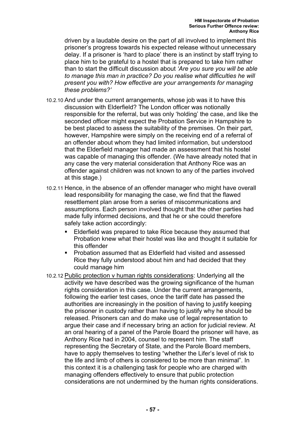driven by a laudable desire on the part of all involved to implement this prisoner's progress towards his expected release without unnecessary delay. If a prisoner is 'hard to place' there is an instinct by staff trying to place him to be grateful to a hostel that is prepared to take him rather than to start the difficult discussion about *'Are you sure you will be able to manage this man in practice? Do you realise what difficulties he will present you with? How effective are your arrangements for managing these problems?'*

- 10.2.10 And under the current arrangements, whose job was it to have this discussion with Elderfield? The London officer was notionally responsible for the referral, but was only 'holding' the case, and like the seconded officer might expect the Probation Service in Hampshire to be best placed to assess the suitability of the premises. On their part, however, Hampshire were simply on the receiving end of a referral of an offender about whom they had limited information, but understood that the Elderfield manager had made an assessment that his hostel was capable of managing this offender. (We have already noted that in any case the very material consideration that Anthony Rice was an offender against children was not known to any of the parties involved at this stage.)
- 10.2.11 Hence, in the absence of an offender manager who might have overall lead responsibility for managing the case, we find that the flawed resettlement plan arose from a series of miscommunications and assumptions. Each person involved thought that the other parties had made fully informed decisions, and that he or she could therefore safely take action accordingly:
	- Elderfield was prepared to take Rice because they assumed that Probation knew what their hostel was like and thought it suitable for this offender
	- Probation assumed that as Elderfield had visited and assessed Rice they fully understood about him and had decided that they could manage him
- 10.2.12 Public protection v human rights considerations: Underlying all the activity we have described was the growing significance of the human rights consideration in this case. Under the current arrangements, following the earlier test cases, once the tariff date has passed the authorities are increasingly in the position of having to justify keeping the prisoner in custody rather than having to justify why he should be released. Prisoners can and do make use of legal representation to argue their case and if necessary bring an action for judicial review. At an oral hearing of a panel of the Parole Board the prisoner will have, as Anthony Rice had in 2004, counsel to represent him. The staff representing the Secretary of State, and the Parole Board members, have to apply themselves to testing "whether the Lifer's level of risk to the life and limb of others is considered to be more than minimal". In this context it is a challenging task for people who are charged with managing offenders effectively to ensure that public protection considerations are not undermined by the human rights considerations.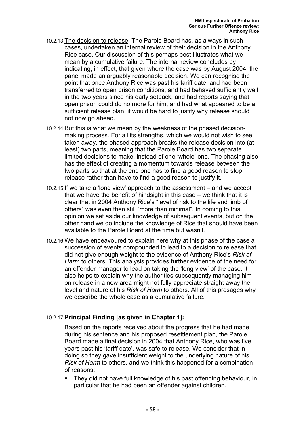- 10.2.13 The decision to release: The Parole Board has, as always in such cases, undertaken an internal review of their decision in the Anthony Rice case. Our discussion of this perhaps best illustrates what we mean by a cumulative failure. The internal review concludes by indicating, in effect, that given where the case was by August 2004, the panel made an arguably reasonable decision. We can recognise the point that once Anthony Rice was past his tariff date, and had been transferred to open prison conditions, and had behaved sufficiently well in the two years since his early setback, and had reports saying that open prison could do no more for him, and had what appeared to be a sufficient release plan, it would be hard to justify why release should not now go ahead.
- 10.2.14 But this is what we mean by the weakness of the phased decisionmaking process. For all its strengths, which we would not wish to see taken away, the phased approach breaks the release decision into (at least) two parts, meaning that the Parole Board has two separate limited decisions to make, instead of one 'whole' one. The phasing also has the effect of creating a momentum towards release between the two parts so that at the end one has to find a good reason to stop release rather than have to find a good reason to justify it.
- 10.2.15 If we take a 'long view' approach to the assessment and we accept that we have the benefit of hindsight in this case – we think that it is clear that in 2004 Anthony Rice's "level of risk to the life and limb of others" was even then still "more than minimal". In coming to this opinion we set aside our knowledge of subsequent events, but on the other hand we do include the knowledge of Rice that should have been available to the Parole Board at the time but wasn't.
- 10.2.16 We have endeavoured to explain here why at this phase of the case a succession of events compounded to lead to a decision to release that did not give enough weight to the evidence of Anthony Rice's *Risk of Harm* to others. This analysis provides further evidence of the need for an offender manager to lead on taking the 'long view' of the case. It also helps to explain why the authorities subsequently managing him on release in a new area might not fully appreciate straight away the level and nature of his *Risk of Harm* to others. All of this presages why we describe the whole case as a cumulative failure.

### 10.2.17 **Principal Finding [as given in Chapter 1]:**

Based on the reports received about the progress that he had made during his sentence and his proposed resettlement plan, the Parole Board made a final decision in 2004 that Anthony Rice, who was five years past his 'tariff date', was safe to release. We consider that in doing so they gave insufficient weight to the underlying nature of his *Risk of Harm* to others, and we think this happened for a combination of reasons:

 They did not have full knowledge of his past offending behaviour, in particular that he had been an offender against children.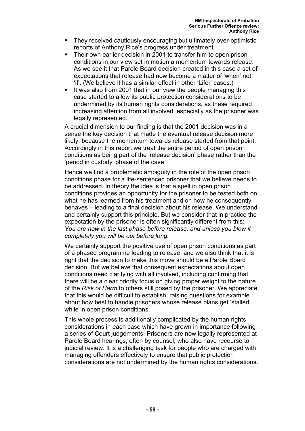- They received cautiously encouraging but ultimately over-optimistic reports of Anthony Rice's progress under treatment
- Their own earlier decision in 2001 to transfer him to open prison conditions in our view set in motion a momentum towards release. As we see it that Parole Board decision created in this case a set of expectations that release had now become a matter of 'when' not 'if'. (We believe it has a similar effect in other 'Lifer' cases.)
- It was also from 2001 that in our view the people managing this case started to allow its public protection considerations to be undermined by its human rights considerations, as these required increasing attention from all involved, especially as the prisoner was legally represented.

A crucial dimension to our finding is that the 2001 decision was in a sense the key decision that made the eventual release decision more likely, because the momentum towards release started from that point. Accordingly in this report we treat the entire period of open prison conditions as being part of the 'release decision' phase rather than the 'period in custody' phase of the case.

Hence we find a problematic ambiguity in the role of the open prison conditions phase for a life-sentenced prisoner that we believe needs to be addressed. In theory the idea is that a spell in open prison conditions provides an opportunity for the prisoner to be tested both on what he has learned from his treatment and on how he consequently behaves – leading to a final decision about his release. We understand and certainly support this principle. But we consider that in practice the expectation by the prisoner is often significantly different from this: *You are now in the last phase before release, and unless you blow it completely you will be out before long.* 

We certainly support the positive use of open prison conditions as part of a phased programme leading to release, and we also think that it is right that the decision to make this move should be a Parole Board decision. But we believe that consequent expectations about open conditions need clarifying with all involved, including confirming that there will be a clear priority focus on giving proper weight to the nature of the *Risk of Harm* to others still posed by the prisoner. We appreciate that this would be difficult to establish, raising questions for example about how best to handle prisoners whose release plans get 'stalled' while in open prison conditions.

This whole process is additionally complicated by the human rights considerations in each case which have grown in importance following a series of Court judgements. Prisoners are now legally represented at Parole Board hearings, often by counsel, who also have recourse to judicial review. It is a challenging task for people who are charged with managing offenders effectively to ensure that public protection considerations are not undermined by the human rights considerations.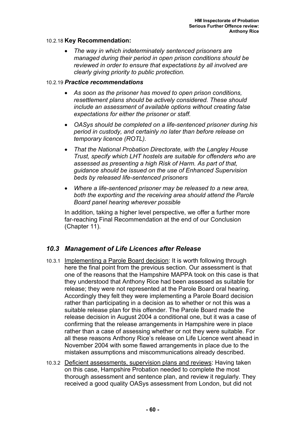### 10.2.18 **Key Recommendation:**

• *The way in which indeterminately sentenced prisoners are managed during their period in open prison conditions should be reviewed in order to ensure that expectations by all involved are clearly giving priority to public protection.* 

#### 10.2.19 *Practice recommendations*

- *As soon as the prisoner has moved to open prison conditions, resettlement plans should be actively considered. These should include an assessment of available options without creating false expectations for either the prisoner or staff.*
- *OASys should be completed on a life-sentenced prisoner during his period in custody, and certainly no later than before release on temporary licence (ROTL).*
- *That the National Probation Directorate, with the Langley House Trust, specify which LHT hostels are suitable for offenders who are assessed as presenting a high Risk of Harm. As part of that, guidance should be issued on the use of Enhanced Supervision beds by released life-sentenced prisoners*
- *Where a life-sentenced prisoner may be released to a new area, both the exporting and the receiving area should attend the Parole Board panel hearing wherever possible*

In addition, taking a higher level perspective, we offer a further more far-reaching Final Recommendation at the end of our Conclusion (Chapter 11).

### *10.3 Management of Life Licences after Release*

- 10.3.1 Implementing a Parole Board decision: It is worth following through here the final point from the previous section. Our assessment is that one of the reasons that the Hampshire MAPPA took on this case is that they understood that Anthony Rice had been assessed as suitable for release; they were not represented at the Parole Board oral hearing. Accordingly they felt they were implementing a Parole Board decision rather than participating in a decision as to whether or not this was a suitable release plan for this offender. The Parole Board made the release decision in August 2004 a conditional one, but it was a case of confirming that the release arrangements in Hampshire were in place rather than a case of assessing whether or not they were suitable. For all these reasons Anthony Rice's release on Life Licence went ahead in November 2004 with some flawed arrangements in place due to the mistaken assumptions and miscommunications already described.
- 10.3.2 Deficient assessments, supervision plans and reviews: Having taken on this case, Hampshire Probation needed to complete the most thorough assessment and sentence plan, and review it regularly. They received a good quality OASys assessment from London, but did not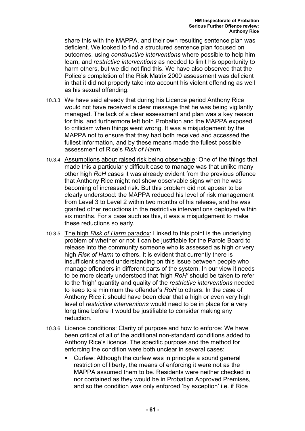share this with the MAPPA, and their own resulting sentence plan was deficient. We looked to find a structured sentence plan focused on outcomes, using *constructive interventions* where possible to help him learn, and *restrictive interventions* as needed to limit his opportunity to harm others, but we did not find this. We have also observed that the Police's completion of the Risk Matrix 2000 assessment was deficient in that it did not properly take into account his violent offending as well as his sexual offending.

- 10.3.3 We have said already that during his Licence period Anthony Rice would not have received a clear message that he was being vigilantly managed. The lack of a clear assessment and plan was a key reason for this, and furthermore left both Probation and the MAPPA exposed to criticism when things went wrong. It was a misjudgement by the MAPPA not to ensure that they had both received and accessed the fullest information, and by these means made the fullest possible assessment of Rice's *Risk of Harm*.
- 10.3.4 Assumptions about raised risk being observable: One of the things that made this a particularly difficult case to manage was that unlike many other high *RoH* cases it was already evident from the previous offence that Anthony Rice might not show observable signs when he was becoming of increased risk. But this problem did not appear to be clearly understood: the MAPPA reduced his level of risk management from Level 3 to Level 2 within two months of his release, and he was granted other reductions in the restrictive interventions deployed within six months. For a case such as this, it was a misjudgement to make these reductions so early.
- 10.3.5 The high *Risk of Harm* paradox: Linked to this point is the underlying problem of whether or not it can be justifiable for the Parole Board to release into the community someone who is assessed as high or very high *Risk of Harm* to others. It is evident that currently there is insufficient shared understanding on this issue between people who manage offenders in different parts of the system. In our view it needs to be more clearly understood that 'high *RoH'* should be taken to refer to the 'high' quantity and quality of the *restrictive interventions* needed to keep to a minimum the offender's *RoH* to others. In the case of Anthony Rice it should have been clear that a high or even very high level of *restrictive interventions* would need to be in place for a very long time before it would be justifiable to consider making any reduction.
- 10.3.6 Licence conditions: Clarity of purpose and how to enforce: We have been critical of all of the additional non-standard conditions added to Anthony Rice's licence. The specific purpose and the method for enforcing the condition were both unclear in several cases:
	- Curfew: Although the curfew was in principle a sound general restriction of liberty, the means of enforcing it were not as the MAPPA assumed them to be. Residents were neither checked in nor contained as they would be in Probation Approved Premises, and so the condition was only enforced 'by exception' i.e. if Rice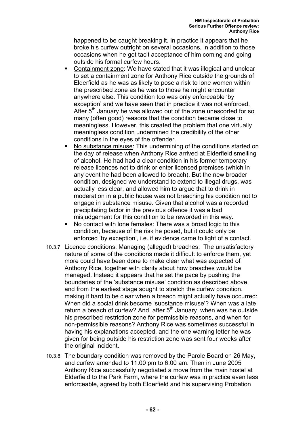happened to be caught breaking it. In practice it appears that he broke his curfew outright on several occasions, in addition to those occasions when he got tacit acceptance of him coming and going outside his formal curfew hours.

- Containment zone: We have stated that it was illogical and unclear to set a containment zone for Anthony Rice outside the grounds of Elderfield as he was as likely to pose a risk to lone women within the prescribed zone as he was to those he might encounter anywhere else. This condition too was only enforceable 'by exception' and we have seen that in practice it was not enforced. After  $5<sup>th</sup>$  January he was allowed out of the zone unescorted for so many (often good) reasons that the condition became close to meaningless. However, this created the problem that one virtually meaningless condition undermined the credibility of the other conditions in the eyes of the offender.
- No substance misuse: This undermining of the conditions started on the day of release when Anthony Rice arrived at Elderfield smelling of alcohol. He had had a clear condition in his former temporary release licences not to drink or enter licensed premises (which in any event he had been allowed to breach). But the new broader condition, designed we understand to extend to illegal drugs, was actually less clear, and allowed him to argue that to drink in moderation in a public house was not breaching his condition not to engage in substance misuse. Given that alcohol was a recorded precipitating factor in the previous offence it was a bad misjudgement for this condition to be reworded in this way.
- No contact with lone females: There was a broad logic to this condition, because of the risk he posed, but it could only be enforced 'by exception', i.e. if evidence came to light of a contact.
- 10.3.7 Licence conditions: Managing (alleged) breaches: The unsatisfactory nature of some of the conditions made it difficult to enforce them, yet more could have been done to make clear what was expected of Anthony Rice, together with clarity about how breaches would be managed. Instead it appears that he set the pace by pushing the boundaries of the 'substance misuse' condition as described above, and from the earliest stage sought to stretch the curfew condition, making it hard to be clear when a breach might actually have occurred: When did a social drink become 'substance misuse'? When was a late return a breach of curfew? And, after  $5<sup>th</sup>$  January, when was he outside his prescribed restriction zone for permissible reasons, and when for non-permissible reasons? Anthony Rice was sometimes successful in having his explanations accepted, and the one warning letter he was given for being outside his restriction zone was sent four weeks after the original incident.
- 10.3.8 The boundary condition was removed by the Parole Board on 26 May, and curfew amended to 11.00 pm to 6.00 am. Then in June 2005 Anthony Rice successfully negotiated a move from the main hostel at Elderfield to the Park Farm, where the curfew was in practice even less enforceable, agreed by both Elderfield and his supervising Probation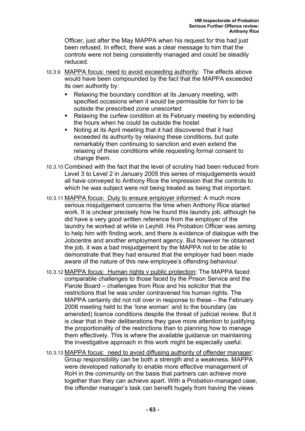Officer, just after the May MAPPA when his request for this had just been refused. In effect, there was a clear message to him that the controls were not being consistently managed and could be steadily reduced.

- 10.3.9 MAPPA focus: need to avoid exceeding authority: The effects above would have been compounded by the fact that the MAPPA exceeded its own authority by:
	- Relaxing the boundary condition at its January meeting, with specified occasions when it would be permissible for him to be outside the prescribed zone unescorted
	- Relaxing the curfew condition at its February meeting by extending the hours when he could be outside the hostel
	- Noting at its April meeting that it had discovered that it had exceeded its authority by relaxing these conditions, but quite remarkably then continuing to sanction and even extend the relaxing of these conditions while requesting formal consent to change them.
- 10.3.10 Combined with the fact that the level of scrutiny had been reduced from Level 3 to Level 2 in January 2005 this series of misjudgements would all have conveyed to Anthony Rice the impression that the controls to which he was subject were not being treated as being that important.
- 10.3.11 MAPPA focus: Duty to ensure employer informed: A much more serious misjudgement concerns the time when Anthony Rice started work. It is unclear precisely how he found this laundry job, although he did have a very good written reference from the employer of the laundry he worked at while in Leyhill. His Probation Officer was aiming to help him with finding work, and there is evidence of dialogue with the Jobcentre and another employment agency. But however he obtained the job, it was a bad misjudgement by the MAPPA not to be able to demonstrate that they had ensured that the employer had been made aware of the nature of this new employee's offending behaviour.
- 10.3.12 MAPPA focus: Human rights v public protection: The MAPPA faced comparable challenges to those faced by the Prison Service and the Parole Board – challenges from Rice and his solicitor that the restrictions that he was under contravened his human rights. The MAPPA certainly did not roll over in response to these – the February 2006 meeting held to the 'lone woman' and to the boundary (as amended) licence conditions despite the threat of judicial review. But it is clear that in their deliberations they gave more attention to justifying the proportionality of the restrictions than to planning how to manage them effectively. This is where the available guidance on maintaining the investigative approach in this work might be especially useful.
- 10.3.13 MAPPA focus: need to avoid diffusing authority of offender manager: Group responsibility can be both a strength and a weakness. MAPPA were developed nationally to enable more effective management of RoH in the community on the basis that partners can achieve more together than they can achieve apart. With a Probation-managed case, the offender manager's task can benefit hugely from having the views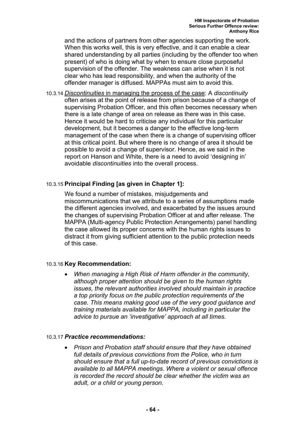and the actions of partners from other agencies supporting the work. When this works well, this is very effective, and it can enable a clear shared understanding by all parties (including by the offender too when present) of who is doing what by when to ensure close purposeful supervision of the offender. The weakness can arise when it is not clear who has lead responsibility, and when the authority of the offender manager is diffused. MAPPAs must aim to avoid this.

10.3.14 *Discontinuities* in managing the process of the case: A *discontinuity* often arises at the point of release from prison because of a change of supervising Probation Officer, and this often becomes necessary when there is a late change of area on release as there was in this case. Hence it would be hard to criticise any individual for this particular development, but it becomes a danger to the effective long-term management of the case when there is a change of supervising officer at this critical point. But where there is no change of area it should be possible to avoid a change of supervisor. Hence, as we said in the report on Hanson and White, there is a need to avoid 'designing in' avoidable *discontinuities* into the overall process.

### 10.3.15 **Principal Finding [as given in Chapter 1]:**

We found a number of mistakes, misjudgements and miscommunications that we attribute to a series of assumptions made the different agencies involved, and exacerbated by the issues around the changes of supervising Probation Officer at and after release. The MAPPA (Multi-agency Public Protection Arrangements) panel handling the case allowed its proper concerns with the human rights issues to distract it from giving sufficient attention to the public protection needs of this case.

### 10.3.16 **Key Recommendation:**

• *When managing a High Risk of Harm offender in the community, although proper attention should be given to the human rights issues, the relevant authorities involved should maintain in practice a top priority focus on the public protection requirements of the case. This means making good use of the very good guidance and training materials available for MAPPA, including in particular the advice to pursue an 'investigative' approach at all times.* 

#### 10.3.17 *Practice recommendations:*

• *Prison and Probation staff should ensure that they have obtained full details of previous convictions from the Police, who in turn should ensure that a full up-to-date record of previous convictions is available to all MAPPA meetings. Where a violent or sexual offence is recorded the record should be clear whether the victim was an adult, or a child or young person.*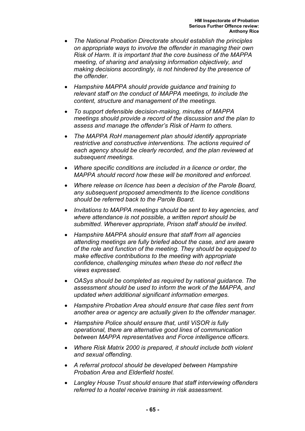- *The National Probation Directorate should establish the principles on appropriate ways to involve the offender in managing their own Risk of Harm. It is important that the core business of the MAPPA meeting, of sharing and analysing information objectively, and making decisions accordingly, is not hindered by the presence of the offender.*
- *Hampshire MAPPA should provide guidance and training to relevant staff on the conduct of MAPPA meetings, to include the content, structure and management of the meetings.*
- *To support defensible decision-making, minutes of MAPPA meetings should provide a record of the discussion and the plan to assess and manage the offender's Risk of Harm to others.*
- *The MAPPA RoH management plan should identify appropriate restrictive and constructive interventions. The actions required of each agency should be clearly recorded, and the plan reviewed at subsequent meetings.*
- *Where specific conditions are included in a licence or order, the MAPPA should record how these will be monitored and enforced.*
- *Where release on licence has been a decision of the Parole Board, any subsequent proposed amendments to the licence conditions should be referred back to the Parole Board.*
- *Invitations to MAPPA meetings should be sent to key agencies, and where attendance is not possible, a written report should be submitted. Wherever appropriate, Prison staff should be invited.*
- *Hampshire MAPPA should ensure that staff from all agencies attending meetings are fully briefed about the case, and are aware of the role and function of the meeting. They should be equipped to make effective contributions to the meeting with appropriate confidence, challenging minutes when these do not reflect the views expressed.*
- *OASys should be completed as required by national guidance. The assessment should be used to inform the work of the MAPPA, and updated when additional significant information emerges.*
- *Hampshire Probation Area should ensure that case files sent from another area or agency are actually given to the offender manager.*
- *Hampshire Police should ensure that, until ViSOR is fully operational, there are alternative good lines of communication between MAPPA representatives and Force intelligence officers.*
- *Where Risk Matrix 2000 is prepared, it should include both violent and sexual offending.*
- *A referral protocol should be developed between Hampshire Probation Area and Elderfield hostel.*
- *Langley House Trust should ensure that staff interviewing offenders referred to a hostel receive training in risk assessment.*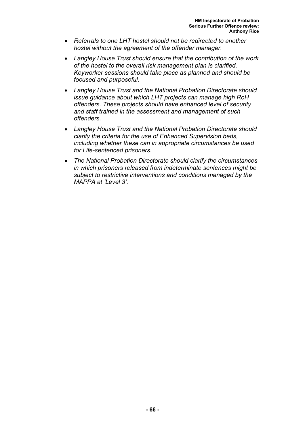- *Referrals to one LHT hostel should not be redirected to another hostel without the agreement of the offender manager.*
- *Langley House Trust should ensure that the contribution of the work of the hostel to the overall risk management plan is clarified. Keyworker sessions should take place as planned and should be focused and purposeful.*
- *Langley House Trust and the National Probation Directorate should issue guidance about which LHT projects can manage high RoH offenders. These projects should have enhanced level of security and staff trained in the assessment and management of such offenders.*
- *Langley House Trust and the National Probation Directorate should clarify the criteria for the use of Enhanced Supervision beds, including whether these can in appropriate circumstances be used for Life-sentenced prisoners.*
- *The National Probation Directorate should clarify the circumstances in which prisoners released from indeterminate sentences might be subject to restrictive interventions and conditions managed by the MAPPA at 'Level 3'.*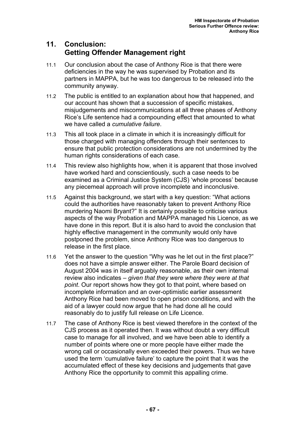# **11. Conclusion: Getting Offender Management right**

- 11.1 Our conclusion about the case of Anthony Rice is that there were deficiencies in the way he was supervised by Probation and its partners in MAPPA, but he was too dangerous to be released into the community anyway.
- 11.2 The public is entitled to an explanation about how that happened, and our account has shown that a succession of specific mistakes, misjudgements and miscommunications at all three phases of Anthony Rice's Life sentence had a compounding effect that amounted to what we have called a *cumulative failure*.
- 11.3 This all took place in a climate in which it is increasingly difficult for those charged with managing offenders through their sentences to ensure that public protection considerations are not undermined by the human rights considerations of each case.
- 11.4 This review also highlights how, when it is apparent that those involved have worked hard and conscientiously, such a case needs to be examined as a Criminal Justice System (CJS) 'whole process' because any piecemeal approach will prove incomplete and inconclusive.
- 11.5 Against this background, we start with a key question: "What actions could the authorities have reasonably taken to prevent Anthony Rice murdering Naomi Bryant?" It is certainly possible to criticise various aspects of the way Probation and MAPPA managed his Licence, as we have done in this report. But it is also hard to avoid the conclusion that highly effective management in the community would only have postponed the problem, since Anthony Rice was too dangerous to release in the first place.
- 11.6 Yet the answer to the question "Why was he let out in the first place?" does not have a simple answer either. The Parole Board decision of August 2004 was in itself arguably reasonable, as their own internal review also indicates – *given that they were where they were at that point*. Our report shows how they got to that point, where based on incomplete information and an over-optimistic earlier assessment Anthony Rice had been moved to open prison conditions, and with the aid of a lawyer could now argue that he had done all he could reasonably do to justify full release on Life Licence.
- 11.7 The case of Anthony Rice is best viewed therefore in the context of the CJS process as it operated then. It was without doubt a very difficult case to manage for all involved, and we have been able to identify a number of points where one or more people have either made the wrong call or occasionally even exceeded their powers. Thus we have used the term 'cumulative failure' to capture the point that it was the accumulated effect of these key decisions and judgements that gave Anthony Rice the opportunity to commit this appalling crime.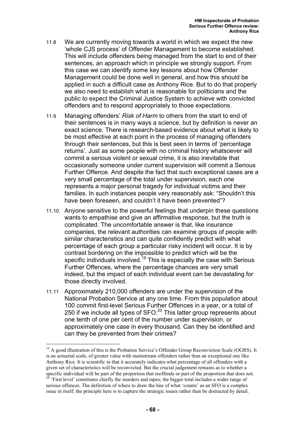- 11.8 We are currently moving towards a world in which we expect the new 'whole CJS process' of Offender Management to become established. This will include offenders being managed from the start to end of their sentences, an approach which in principle we strongly support. From this case we can identify some key lessons about how Offender Management could be done well in general, and how this should be applied in such a difficult case as Anthony Rice. But to do that properly we also need to establish what is reasonable for politicians and the public to expect the Criminal Justice System to achieve with convicted offenders and to respond appropriately to those expectations.
- 11.9 Managing offenders' *Risk of Harm* to others from the start to end of their sentences is in many ways a science, but by definition is never an exact science. There is research-based evidence about what is likely to be most effective at each point in the process of managing offenders through their sentences, but this is best seen in terms of 'percentage returns'. Just as some people with no criminal history whatsoever will commit a serious violent or sexual crime, it is also inevitable that occasionally someone under current supervision will commit a Serious Further Offence. And despite the fact that such exceptional cases are a very small percentage of the total under supervision, each one represents a major personal tragedy for individual victims and their families. In such instances people very reasonably ask: "Shouldn't this have been foreseen, and couldn't it have been prevented"?
- 11.10 Anyone sensitive to the powerful feelings that underpin these questions wants to empathise and give an affirmative response, but the truth is complicated. The uncomfortable answer is that, like insurance companies, the relevant authorities can examine groups of people with similar characteristics and can quite confidently predict with what percentage of each group a particular risky incident will occur. It is by contrast bordering on the impossible to predict which will be the specific individuals involved.<sup>19</sup> This is especially the case with Serious Further Offences, where the percentage chances are very small indeed, but the impact of each individual event can be devastating for those directly involved.
- 11.11 Approximately 210,000 offenders are under the supervision of the National Probation Service at any one time. From this population about 100 commit first-level Serious Further Offences in a year, or a total of 250 if we include all types of  $SFO.<sup>20</sup>$  This latter group represents about one tenth of one per cent of the number under supervision, or approximately one case in every thousand. Can they be identified and can they be prevented from their crimes?

 $19$  A good illustration of this is the Probation Service's Offender Group Reconviction Scale (OGRS). It is an actuarial scale, of greater value with mainstream offenders rather than an exceptional one like Anthony Rice. It is scientific in that it accurately indicates what percentage of all offenders with a given set of characteristics will be reconvicted. But the crucial judgement remains as to whether a specific individual will be part of the proportion that reoffends or part of the proportion that does not.<br><sup>20</sup> 'First level' constitutes chiefly the murders and rapes; the bigger total includes a wider range of

serious offences. The definition of where to draw the line of what 'counts' as an SFO is a complex issue in itself; the principle here is to capture the strategic issues rather than be distracted by detail.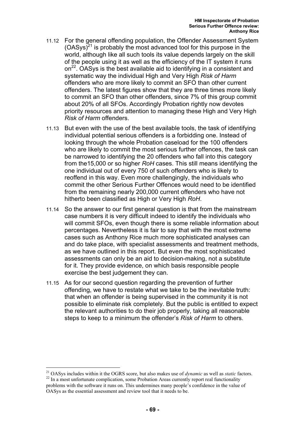- 11.12 For the general offending population, the Offender Assessment System  $(OASys)^{21}$  is probably the most advanced tool for this purpose in the world, although like all such tools its value depends largely on the skill of the people using it as well as the efficiency of the IT system it runs  $on<sup>22</sup>$ . OASys is the best available aid to identifying in a consistent and systematic way the individual High and Very High *Risk of Harm* offenders who are more likely to commit an SFO than other current offenders. The latest figures show that they are three times more likely to commit an SFO than other offenders, since 7% of this group commit about 20% of all SFOs. Accordingly Probation rightly now devotes priority resources and attention to managing these High and Very High *Risk of Harm* offenders.
- 11.13 But even with the use of the best available tools, the task of identifying individual potential serious offenders is a forbidding one. Instead of looking through the whole Probation caseload for the 100 offenders who are likely to commit the most serious further offences, the task can be narrowed to identifying the 20 offenders who fall into this category from the15,000 or so higher *RoH* cases. This still means identifying the one individual out of every 750 of such offenders who is likely to reoffend in this way. Even more challengingly, the individuals who commit the other Serious Further Offences would need to be identified from the remaining nearly 200,000 current offenders who have not hitherto been classified as High or Very High *RoH*.
- 11.14 So the answer to our first general question is that from the mainstream case numbers it is very difficult indeed to identify the individuals who will commit SFOs, even though there is some reliable information about percentages. Nevertheless it is fair to say that with the most extreme cases such as Anthony Rice much more sophisticated analyses can and do take place, with specialist assessments and treatment methods, as we have outlined in this report. But even the most sophisticated assessments can only be an aid to decision-making, not a substitute for it. They provide evidence, on which basis responsible people exercise the best judgement they can.
- 11.15 As for our second question regarding the prevention of further offending, we have to restate what we take to be the inevitable truth: that when an offender is being supervised in the community it is not possible to eliminate risk completely. But the public is entitled to expect the relevant authorities to do their job properly, taking all reasonable steps to keep to a minimum the offender's *Risk of Harm* to others.

<sup>&</sup>lt;sup>21</sup> OASys includes within it the OGRS score, but also makes use of *dynamic* as well as *static* factors.<br><sup>22</sup> In a most unfortunate complication, some Probation Areas currently report real functionality problems with the software it runs on. This undermines many people's confidence in the value of OASys as the essential assessment and review tool that it needs to be.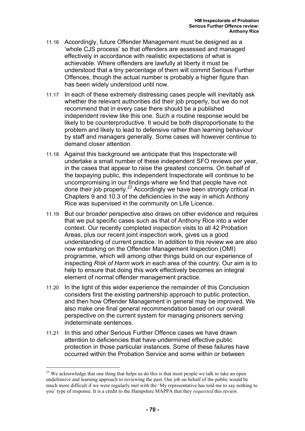- 11.16 Accordingly, future Offender Management must be designed as a 'whole CJS process' so that offenders are assessed and managed effectively in accordance with realistic expectations of what is achievable. Where offenders are lawfully at liberty it must be understood that a tiny percentage of them will commit Serious Further Offences, though the actual number is probably a higher figure than has been widely understood until now.
- 11.17 In each of these extremely distressing cases people will inevitably ask whether the relevant authorities did their job properly, but we do not recommend that in every case there should be a published independent review like this one. Such a routine response would be likely to be counterproductive. It would be both disproportionate to the problem and likely to lead to defensive rather than learning behaviour by staff and managers generally. Some cases will however continue to demand closer attention.
- 11.18 Against this background we anticipate that this Inspectorate will undertake a small number of these independent SFO reviews per year, in the cases that appear to raise the greatest concerns. On behalf of the taxpaying public, this independent Inspectorate will continue to be uncompromising in our findings where we find that people have not done their job properly.23 Accordingly we have been strongly critical in Chapters 9 and 10.3 of the deficiencies in the way in which Anthony Rice was supervised in the community on Life Licence.
- 11.19 But our broader perspective also draws on other evidence and requires that we put specific cases such as that of Anthony Rice into a wider context. Our recently completed inspection visits to all 42 Probation Areas, plus our recent joint inspection work, gives us a good understanding of current practice. In addition to this review we are also now embarking on the Offender Management Inspection (OMI) programme, which will among other things build on our experience of inspecting *Risk of Harm* work in each area of the country. Our aim is to help to ensure that doing this work effectively becomes an integral element of normal offender management practice.
- 11.20 In the light of this wider experience the remainder of this Conclusion considers first the existing partnership approach to public protection, and then how Offender Management in general may be improved. We also make one final general recommendation based on our overall perspective on the current system for managing prisoners serving indeterminate sentences.
- 11.21 In this and other Serious Further Offence cases we have drawn attention to deficiencies that have undermined effective public protection in those particular instances. Some of these failures have occurred within the Probation Service and some within or between

<sup>&</sup>lt;sup>23</sup> We acknowledge that one thing that helps us do this is that most people we talk to take an open undefensive and learning approach to reviewing the past. Our job on behalf of the public would be much more difficult if we were regularly met with the 'My representative has told me to say nothing to you' type of response. It is a credit to the Hampshire MAPPA that they *requested* this review.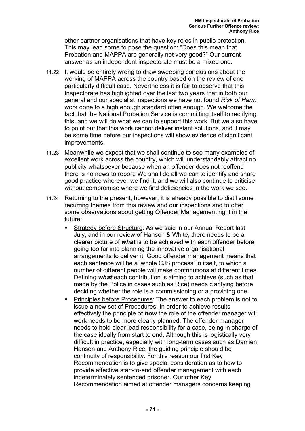other partner organisations that have key roles in public protection. This may lead some to pose the question: "Does this mean that Probation and MAPPA are generally not very good?" Our current answer as an independent inspectorate must be a mixed one.

- 11.22 It would be entirely wrong to draw sweeping conclusions about the working of MAPPA across the country based on the review of one particularly difficult case. Nevertheless it is fair to observe that this Inspectorate has highlighted over the last two years that in both our general and our specialist inspections we have not found *Risk of Harm* work done to a high enough standard often enough. We welcome the fact that the National Probation Service is committing itself to rectifying this, and we will do what we can to support this work. But we also have to point out that this work cannot deliver instant solutions, and it may be some time before our inspections will show evidence of significant improvements.
- 11.23 Meanwhile we expect that we shall continue to see many examples of excellent work across the country, which will understandably attract no publicity whatsoever because when an offender does not reoffend there is no news to report. We shall do all we can to identify and share good practice wherever we find it, and we will also continue to criticise without compromise where we find deficiencies in the work we see.
- 11.24 Returning to the present, however, it is already possible to distil some recurring themes from this review and our inspections and to offer some observations about getting Offender Management right in the future:
	- Strategy before Structure: As we said in our Annual Report last July, and in our review of Hanson & White, there needs to be a clearer picture of *what* is to be achieved with each offender before going too far into planning the innovative organisational arrangements to deliver it. Good offender management means that each sentence will be a 'whole CJS process' in itself, to which a number of different people will make contributions at different times. Defining *what* each contribution is aiming to achieve (such as that made by the Police in cases such as Rice) needs clarifying before deciding whether the role is a commissioning or a providing one.
	- Principles before Procedures: The answer to each problem is not to issue a new set of Procedures. In order to achieve results effectively the principle of *how* the role of the offender manager will work needs to be more clearly planned. The offender manager needs to hold clear lead responsibility for a case, being in charge of the case ideally from start to end. Although this is logistically very difficult in practice, especially with long-term cases such as Damien Hanson and Anthony Rice, the guiding principle should be continuity of responsibility. For this reason our first Key Recommendation is to give special consideration as to how to provide effective start-to-end offender management with each indeterminately sentenced prisoner. Our other Key Recommendation aimed at offender managers concerns keeping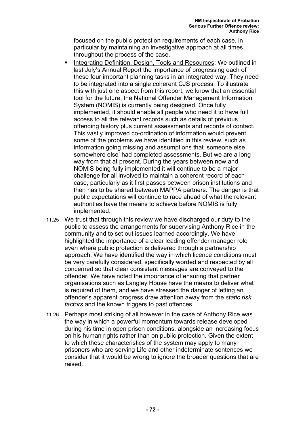focused on the public protection requirements of each case, in particular by maintaining an investigative approach at all times throughout the process of the case.

- Integrating Definition, Design, Tools and Resources: We outlined in last July's Annual Report the importance of progressing each of these four important planning tasks in an integrated way. They need to be integrated into a single coherent CJS process. To illustrate this with just one aspect from this report, we know that an essential tool for the future, the National Offender Management Information System (NOMIS) is currently being designed. Once fully implemented, it should enable all people who need it to have full access to all the relevant records such as details of previous offending history plus current assessments and records of contact. This vastly improved co-ordination of information would prevent some of the problems we have identified in this review, such as information going missing and assumptions that 'someone else somewhere else' had completed assessments. But we are a long way from that at present. During the years between now and NOMIS being fully implemented it will continue to be a major challenge for all involved to maintain a coherent record of each case, particularly as it first passes between prison institutions and then has to be shared between MAPPA partners. The danger is that public expectations will continue to race ahead of what the relevant authorities have the means to achieve before NOMIS is fully implemented.
- 11.25 We trust that through this review we have discharged our duty to the public to assess the arrangements for supervising Anthony Rice in the community and to set out issues learned accordingly. We have highlighted the importance of a clear leading offender manager role even where public protection is delivered through a partnership approach. We have identified the way in which licence conditions must be very carefully considered, specifically worded and respected by all concerned so that clear consistent messages are conveyed to the offender. We have noted the importance of ensuring that partner organisations such as Langley House have the means to deliver what is required of them, and we have stressed the danger of letting an offender's apparent progress draw attention away from the *static risk factors* and the known triggers to past offences.
- 11.26 Perhaps most striking of all however in the case of Anthony Rice was the way in which a powerful momentum towards release developed during his time in open prison conditions, alongside an increasing focus on his human rights rather than on public protection. Given the extent to which these characteristics of the system may apply to many prisoners who are serving Life and other indeterminate sentences we consider that it would be wrong to ignore the broader questions that are raised.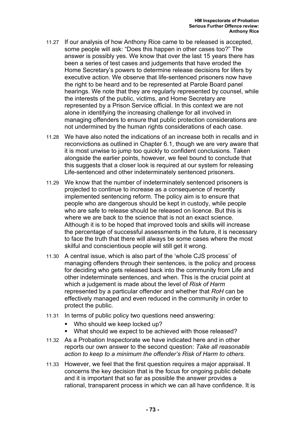- 11.27 If our analysis of how Anthony Rice came to be released is accepted, some people will ask: "Does this happen in other cases too?" The answer is possibly yes. We know that over the last 15 years there has been a series of test cases and judgements that have eroded the Home Secretary's powers to determine release decisions for lifers by executive action. We observe that life-sentenced prisoners now have the right to be heard and to be represented at Parole Board panel hearings. We note that they are regularly represented by counsel, while the interests of the public, victims, and Home Secretary are represented by a Prison Service official. In this context we are not alone in identifying the increasing challenge for all involved in managing offenders to ensure that public protection considerations are not undermined by the human rights considerations of each case.
- 11.28 We have also noted the indications of an increase both in recalls and in reconvictions as outlined in Chapter 6.1, though we are very aware that it is most unwise to jump too quickly to confident conclusions. Taken alongside the earlier points, however, we feel bound to conclude that this suggests that a closer look is required at our system for releasing Life-sentenced and other indeterminately sentenced prisoners.
- 11.29 We know that the number of indeterminately sentenced prisoners is projected to continue to increase as a consequence of recently implemented sentencing reform. The policy aim is to ensure that people who are dangerous should be kept in custody, while people who are safe to release should be released on licence. But this is where we are back to the science that is not an exact science. Although it is to be hoped that improved tools and skills will increase the percentage of successful assessments in the future, it is necessary to face the truth that there will always be some cases where the most skilful and conscientious people will still get it wrong.
- 11.30 A central issue, which is also part of the 'whole CJS process' of managing offenders through their sentences, is the policy and process for deciding who gets released back into the community from Life and other indeterminate sentences, and when. This is the crucial point at which a judgement is made about the level of *Risk of Harm* represented by a particular offender and whether that *RoH* can be effectively managed and even reduced in the community in order to protect the public.
- 11.31 In terms of public policy two questions need answering:
	- **Who should we keep locked up?**
	- What should we expect to be achieved with those released?
- 11.32 As a Probation Inspectorate we have indicated here and in other reports our own answer to the second question: *Take all reasonable action to keep to a minimum the offender's Risk of Harm to others.*
- 11.33 However, we feel that the first question requires a major appraisal. It concerns the key decision that is the focus for ongoing public debate and it is important that so far as possible the answer provides a rational, transparent process in which we can all have confidence. It is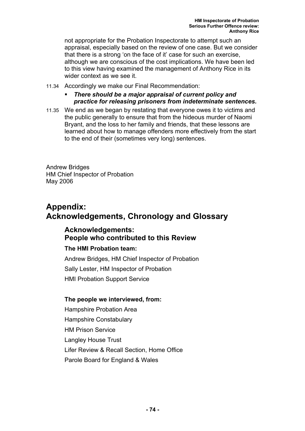not appropriate for the Probation Inspectorate to attempt such an appraisal, especially based on the review of one case. But we consider that there is a strong 'on the face of it' case for such an exercise, although we are conscious of the cost implications. We have been led to this view having examined the management of Anthony Rice in its wider context as we see it.

11.34 Accordingly we make our Final Recommendation:

#### *There should be a major appraisal of current policy and practice for releasing prisoners from indeterminate sentences.*

11.35 We end as we began by restating that everyone owes it to victims and the public generally to ensure that from the hideous murder of Naomi Bryant, and the loss to her family and friends, that these lessons are learned about how to manage offenders more effectively from the start to the end of their (sometimes very long) sentences.

Andrew Bridges HM Chief Inspector of Probation May 2006

# **Appendix: Acknowledgements, Chronology and Glossary**

### **Acknowledgements: People who contributed to this Review**

#### **The HMI Probation team:**

Andrew Bridges, HM Chief Inspector of Probation Sally Lester, HM Inspector of Probation HMI Probation Support Service

#### **The people we interviewed, from:**

Hampshire Probation Area Hampshire Constabulary HM Prison Service Langley House Trust Lifer Review & Recall Section, Home Office Parole Board for England & Wales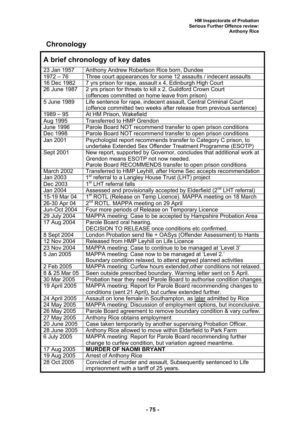Ŧ

# **Chronology**

F

| A brief chronology of key dates |                                                                                  |  |
|---------------------------------|----------------------------------------------------------------------------------|--|
| 23 Jan 1957                     | Anthony Andrew Robertson Rice born, Dundee                                       |  |
| $1972 - 76$                     | Three court appearances for some 12 assaults / indecent assaults                 |  |
| 16 Dec 1982                     | 7 yrs prison for rape, assault x 4, Edinburgh High Court                         |  |
| 26 June 1987                    | 2 yrs prison for threats to kill x 2, Guildford Crown Court                      |  |
|                                 | (offences committed on home leave from prison)                                   |  |
| 5 June 1989                     | Life sentence for rape, indecent assault, Central Criminal Court                 |  |
|                                 | (offence committed two weeks after release from previous sentence)               |  |
| $1989 - 95$                     | At HM Prison, Wakefield                                                          |  |
| Aug 1995                        | <b>Transferred to HMP Grendon</b>                                                |  |
| <b>June 1996</b>                | Parole Board NOT recommend transfer to open prison conditions                    |  |
| Dec 1998                        | Parole Board NOT recommend transfer to open prison conditions                    |  |
| Jan 2001                        | Psychologist report recommends transfer to Category C prison, to                 |  |
|                                 | undertake Extended Sex Offender Treatment Programme (ESOTP)                      |  |
| Sept 2001                       | New report, supported by Governor, concludes that additional work at             |  |
|                                 | Grendon means ESOTP not now needed.                                              |  |
|                                 | Parole Board RECOMMENDS transfer to open prison conditions                       |  |
| March 2002                      | Transferred to HMP Leyhill, after Home Sec accepts recommendation                |  |
| Jan 2003                        | 1 <sup>st</sup> referral to a Langley House Trust (LHT) project                  |  |
| Dec 2003                        | 1 <sup>st</sup> LHT referral falls                                               |  |
| <b>Jan 2004</b>                 | Assessed and provisionally accepted by Elderfield (2 <sup>nd</sup> LHT referral) |  |
| 15-19 Mar 04                    | 1 <sup>st</sup> ROTL (Release on Temp Licence). MAPPA meeting on 18 March        |  |
| 26-30 Apr 04                    | 2 <sup>nd</sup> ROTL. MAPPA meeting on 29 April                                  |  |
| Jun-Oct 2004                    | Four more periods of Release on Temporary Licence                                |  |
| 29 July 2004                    | MAPPA meeting: Case to be accepted by Hampshire Probation Area                   |  |
| 17 Aug 2004                     | Parole Board oral hearing.                                                       |  |
|                                 | DECISION TO RELEASE once conditions etc confirmed.                               |  |
| 8 Sept 2004                     | London Probation send file + OASys (Offender Assessment) to Hants                |  |
| 12 Nov 2004                     | Released from HMP Leyhill on Life Licence                                        |  |
| 23 Nov 2004                     | MAPPA meeting: Case to continue to be managed at 'Level 3'                       |  |
| 5 Jan 2005                      | MAPPA meeting: Case now to be managed at 'Level 2.'                              |  |
|                                 | Boundary condition relaxed, to attend agreed planned activities                  |  |
| 2 Feb 2005                      | MAPPA meeting: Curfew hours extended, other conditions not relaxed.              |  |
| 8 & 25 Mar 05                   | Seen outside prescribed boundary. Warning letter sent on 5 April.                |  |
| 30 Mar 2005                     | Probation hear they need Parole Board to authorise condition changes             |  |
| 19 April 2005                   | MAPPA meeting: Report for Parole Board recommending changes to                   |  |
|                                 | conditions (sent 21 April), but curfew extended further.                         |  |
| 24 April 2005                   | Assault on lone female in Southampton, as later admitted by Rice                 |  |
| 24 May 2005                     | MAPPA meeting: Discussion of employment options, but inconclusive.               |  |
| 26 May 2005                     | Parole Board agreement to remove boundary condition & vary curfew.               |  |
| 27 May 2005                     | Anthony Rice obtains employment                                                  |  |
| 20 June 2005                    | Case taken temporarily by another supervising Probation Officer.                 |  |
| 28 June 2005                    | Anthony Rice allowed to move within Elderfield to Park Farm                      |  |
| 6 July 2005                     | MAPPA meeting: Report for Parole Board recommending further                      |  |
|                                 | change to curfew condition, but variation agreed meantime.                       |  |
| 17 Aug 2005                     | <b>MURDER OF NAOMI BRYANT</b>                                                    |  |
| 19 Aug 2005                     | <b>Arrest of Anthony Rice</b>                                                    |  |
| 28 Oct 2005                     | Convicted of murder and assault, Subsequently sentenced to Life                  |  |
|                                 | imprisonment with a tariff of 25 years.                                          |  |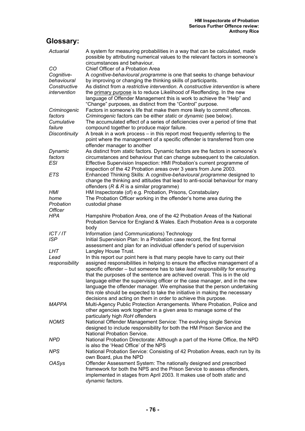## **Glossary:**

| Actuarial               | A system for measuring probabilities in a way that can be calculated, made<br>possible by attributing numerical values to the relevant factors in someone's<br>circumstances and behaviour.                                                                                                                                                                                                                                                                                         |
|-------------------------|-------------------------------------------------------------------------------------------------------------------------------------------------------------------------------------------------------------------------------------------------------------------------------------------------------------------------------------------------------------------------------------------------------------------------------------------------------------------------------------|
| CO                      | Chief Officer of a Probation Area                                                                                                                                                                                                                                                                                                                                                                                                                                                   |
| Cognitive-              | A cognitive-behavioural programme is one that seeks to change behaviour                                                                                                                                                                                                                                                                                                                                                                                                             |
| behavioural             | by improving or changing the thinking skills of participants.                                                                                                                                                                                                                                                                                                                                                                                                                       |
| Constructive            | As distinct from a restrictive intervention. A constructive intervention is where                                                                                                                                                                                                                                                                                                                                                                                                   |
| intervention            | the primary purpose is to reduce Likelihood of Reoffending. In the new<br>language of Offender Management this is work to achieve the "Help" and                                                                                                                                                                                                                                                                                                                                    |
|                         | "Change" purposes, as distinct from the "Control" purpose.                                                                                                                                                                                                                                                                                                                                                                                                                          |
| Criminogenic<br>factors | Factors in someone's life that make them more likely to commit offences.<br>Criminogenic factors can be either static or dynamic (see below).                                                                                                                                                                                                                                                                                                                                       |
| Cumulative<br>failure   | The accumulated effect of a series of deficiencies over a period of time that<br>compound together to produce major failure.                                                                                                                                                                                                                                                                                                                                                        |
| <b>Discontinuity</b>    | A break in a work process – in this report most frequently referring to the                                                                                                                                                                                                                                                                                                                                                                                                         |
|                         | point where the management of a specific offender is transferred from one<br>offender manager to another                                                                                                                                                                                                                                                                                                                                                                            |
| Dynamic                 | As distinct from static factors. Dynamic factors are the factors in someone's                                                                                                                                                                                                                                                                                                                                                                                                       |
| factors<br>ESI          | circumstances and behaviour that can change subsequent to the calculation.<br>Effective Supervision Inspection: HMI Probation's current programme of                                                                                                                                                                                                                                                                                                                                |
|                         | inspection of the 42 Probation areas over 3 years from June 2003.                                                                                                                                                                                                                                                                                                                                                                                                                   |
| ETS                     | Enhanced Thinking Skills: A cognitive-behavioural programme designed to<br>change the thinking and attitudes that lead to anti-social behaviour for many                                                                                                                                                                                                                                                                                                                            |
|                         | offenders ( $R \& R$ is a similar programme)                                                                                                                                                                                                                                                                                                                                                                                                                                        |
| HMI                     | HM Inspectorate (of) e.g. Probation, Prisons, Constabulary                                                                                                                                                                                                                                                                                                                                                                                                                          |
| home                    | The Probation Officer working in the offender's home area during the                                                                                                                                                                                                                                                                                                                                                                                                                |
| Probation               | custodial phase                                                                                                                                                                                                                                                                                                                                                                                                                                                                     |
| <b>Officer</b>          |                                                                                                                                                                                                                                                                                                                                                                                                                                                                                     |
| HPA                     | Hampshire Probation Area, one of the 42 Probation Areas of the National<br>Probation Service for England & Wales. Each Probation Area is a corporate<br>body                                                                                                                                                                                                                                                                                                                        |
| ICT/IT                  | Information (and Communications) Technology                                                                                                                                                                                                                                                                                                                                                                                                                                         |
| <b>ISP</b>              | Initial Supervision Plan: In a Probation case record, the first formal<br>assessment and plan for an individual offender's period of supervision                                                                                                                                                                                                                                                                                                                                    |
| LHT                     | Langley House Trust.                                                                                                                                                                                                                                                                                                                                                                                                                                                                |
| Lead                    | In this report our point here is that many people have to carry out their                                                                                                                                                                                                                                                                                                                                                                                                           |
| responsibility          | assigned responsibilities in helping to ensure the effective management of a<br>specific offender - but someone has to take lead responsibility for ensuring<br>that the purposes of the sentence are achieved overall. This is in the old<br>language either the supervising officer or the case manager, and in the new<br>language the offender manager. We emphasise that the person undertaking<br>this role should be expected to take the initiative in making the necessary |
|                         | decisions and acting on them in order to achieve this purpose.                                                                                                                                                                                                                                                                                                                                                                                                                      |
| <b>MAPPA</b>            | Multi-Agency Public Protection Arrangements. Where Probation, Police and                                                                                                                                                                                                                                                                                                                                                                                                            |
|                         | other agencies work together in a given area to manage some of the<br>particularly high RoH offenders                                                                                                                                                                                                                                                                                                                                                                               |
| <b>NOMS</b>             | National Offender Management Service: The evolving single Service                                                                                                                                                                                                                                                                                                                                                                                                                   |
|                         | designed to include responsibility for both the HM Prison Service and the                                                                                                                                                                                                                                                                                                                                                                                                           |
|                         | <b>National Probation Service.</b>                                                                                                                                                                                                                                                                                                                                                                                                                                                  |
| NPD                     | National Probation Directorate: Although a part of the Home Office, the NPD                                                                                                                                                                                                                                                                                                                                                                                                         |
|                         | is also the 'Head Office' of the NPS                                                                                                                                                                                                                                                                                                                                                                                                                                                |
| <b>NPS</b>              | National Probation Service: Consisting of 42 Probation Areas, each run by its<br>own Board, plus the NPD                                                                                                                                                                                                                                                                                                                                                                            |
| <b>OASys</b>            | Offender Assessment System: The nationally designed and prescribed                                                                                                                                                                                                                                                                                                                                                                                                                  |
|                         | framework for both the NPS and the Prison Service to assess offenders,                                                                                                                                                                                                                                                                                                                                                                                                              |
|                         | implemented in stages from April 2003. It makes use of both static and<br>dynamic factors.                                                                                                                                                                                                                                                                                                                                                                                          |
|                         |                                                                                                                                                                                                                                                                                                                                                                                                                                                                                     |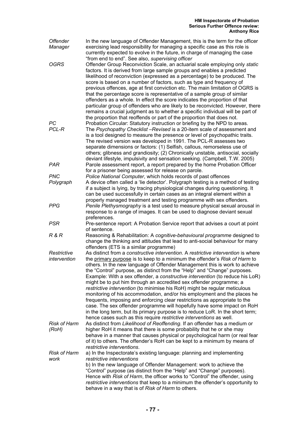| <b>Offender</b><br>Manager   | In the new language of Offender Management, this is the term for the officer<br>exercising lead responsibility for managing a specific case as this role is<br>currently expected to evolve in the future, in charge of managing the case                                                                                                                                                                                                                                                                                                                                                                                                                                                                                                                                                                                                                                                                                                                      |
|------------------------------|----------------------------------------------------------------------------------------------------------------------------------------------------------------------------------------------------------------------------------------------------------------------------------------------------------------------------------------------------------------------------------------------------------------------------------------------------------------------------------------------------------------------------------------------------------------------------------------------------------------------------------------------------------------------------------------------------------------------------------------------------------------------------------------------------------------------------------------------------------------------------------------------------------------------------------------------------------------|
| <b>OGRS</b>                  | "from end to end". See also, supervising officer<br>Offender Group Reconviction Scale, an actuarial scale employing only static<br>factors. It is derived from large sample groups and enables a predicted<br>likelihood of reconviction (expressed as a percentage) to be produced. The<br>score is based on a number of factors, such as type and frequency of<br>previous offences, age at first conviction etc. The main limitation of OGRS is<br>that the percentage score is representative of a sample group of similar<br>offenders as a whole. In effect the score indicates the proportion of that<br>particular group of offenders who are likely to be reconvicted. However, there<br>remains a crucial judgment as to whether a specific individual will be part of                                                                                                                                                                               |
| PC<br>PCL-R                  | the proportion that reoffends or part of the proportion that does not.<br>Probation Circular: Statutory instruction or briefing by the NPD to areas.<br>The Psychopathy Checklist - Revised is a 20-item scale of assessment and<br>is a tool designed to measure the presence or level of psychopathic traits.<br>The revised version was developed in 1991. The PCL-R assesses two<br>separate dimensions or factors: (1) Selfish, callous, remorseless use of<br>others; glibness and grandiosity; (2) Chronically unstable, antisocial, socially<br>deviant lifestyle, impulsivity and sensation seeking. (Campbell, T.W. 2005)                                                                                                                                                                                                                                                                                                                            |
| <b>PAR</b>                   | Parole assessment report, a report prepared by the home Probation Officer<br>for a prisoner being assessed for release on parole.                                                                                                                                                                                                                                                                                                                                                                                                                                                                                                                                                                                                                                                                                                                                                                                                                              |
| <b>PNC</b>                   | Police National Computer, which holds records of past offences                                                                                                                                                                                                                                                                                                                                                                                                                                                                                                                                                                                                                                                                                                                                                                                                                                                                                                 |
| Polygraph                    | A device often called a 'lie detector'. Polygraph testing is a method of testing<br>if a subject is lying, by tracing physiological changes during questioning. It<br>can be used successfully in certain cases as an integral element within a<br>properly managed treatment and testing programme with sex offenders.                                                                                                                                                                                                                                                                                                                                                                                                                                                                                                                                                                                                                                        |
| <b>PPG</b>                   | Penile Plethysmography is a test used to measure physical sexual arousal in<br>response to a range of images. It can be used to diagnose deviant sexual<br>preferences.                                                                                                                                                                                                                                                                                                                                                                                                                                                                                                                                                                                                                                                                                                                                                                                        |
| <b>PSR</b>                   | Pre-sentence report: A Probation Service report that advises a court at point<br>of sentence.                                                                                                                                                                                                                                                                                                                                                                                                                                                                                                                                                                                                                                                                                                                                                                                                                                                                  |
| R&R                          | Reasoning & Rehabilitation: A cognitive-behavioural programme designed to<br>change the thinking and attitudes that lead to anti-social behaviour for many<br>offenders (ETS is a similar programme)                                                                                                                                                                                                                                                                                                                                                                                                                                                                                                                                                                                                                                                                                                                                                           |
| Restrictive<br>intervention  | As distinct from a constructive intervention. A restrictive intervention is where<br>the primary purpose is to keep to a minimum the offender's Risk of Harm to<br>others. In the new language of Offender Management this is work to achieve<br>the "Control" purpose, as distinct from the "Help" and "Change" purposes.<br>Example: With a sex offender, a constructive intervention (to reduce his LoR)<br>might be to put him through an accredited sex offender programme; a<br>restrictive intervention (to minimise his RoH) might be regular meticulous<br>monitoring of his accommodation, and/or his employment and the places he<br>frequents, imposing and enforcing clear restrictions as appropriate to the<br>case. The sex offender programme will hopefully have some impact on RoH<br>in the long term, but its primary purpose is to reduce LoR. In the short term;<br>hence cases such as this require restrictive interventions as well. |
| <b>Risk of Harm</b><br>(RoH) | As distinct from Likelihood of Reoffending. If an offender has a medium or<br>higher RoH it means that there is some probability that he or she may<br>behave in a manner that causes physical or psychological harm (or real fear<br>of it) to others. The offender's RoH can be kept to a minimum by means of<br>restrictive interventions.                                                                                                                                                                                                                                                                                                                                                                                                                                                                                                                                                                                                                  |
| <b>Risk of Harm</b><br>work  | a) In the Inspectorate's existing language: planning and implementing<br>restrictive interventions<br>b) In the new language of Offender Management: work to achieve the<br>"Control" purpose (as distinct from the "Help" and "Change" purposes).<br>Hence with Risk of Harm, the officer works to "Control" the offender, using<br>restrictive interventions that keep to a minimum the offender's opportunity to<br>behave in a way that is of Risk of Harm to others.                                                                                                                                                                                                                                                                                                                                                                                                                                                                                      |